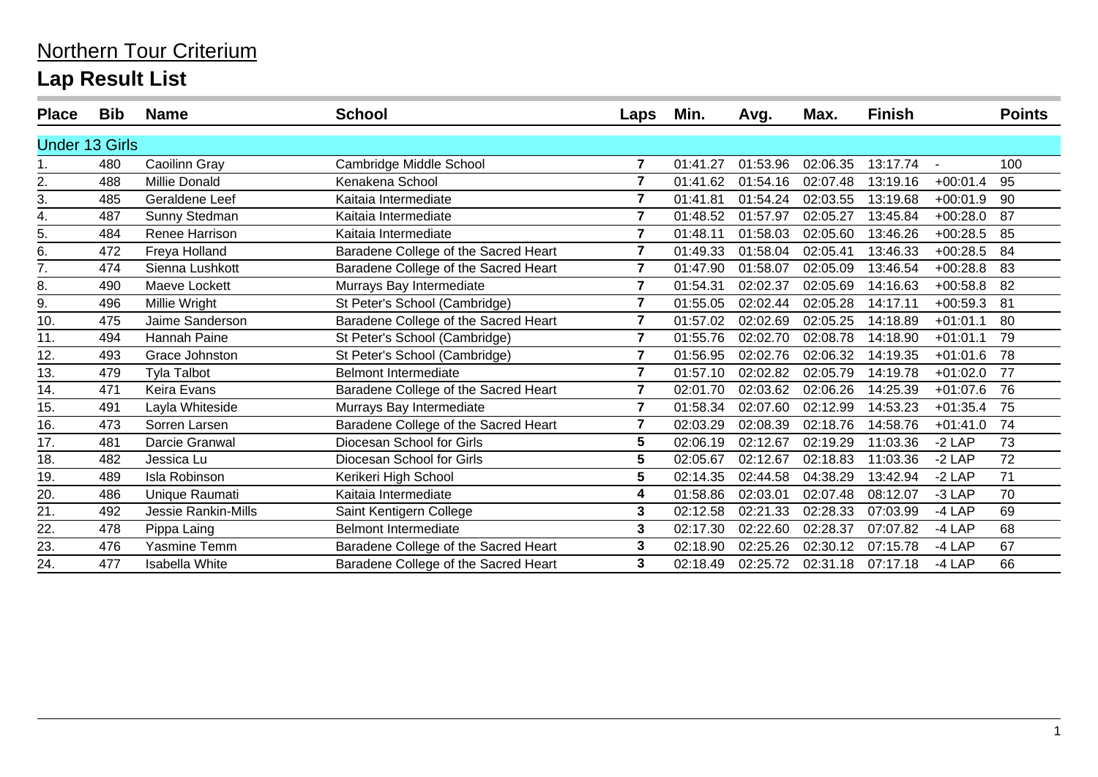| <b>Place</b>          | <b>Bib</b> | <b>Name</b>                | <b>School</b>                        | Laps           | Min.     | Avg.     | Max.     | <b>Finish</b> |            | <b>Points</b> |
|-----------------------|------------|----------------------------|--------------------------------------|----------------|----------|----------|----------|---------------|------------|---------------|
| <b>Under 13 Girls</b> |            |                            |                                      |                |          |          |          |               |            |               |
|                       | 480        | Caoilinn Gray              | Cambridge Middle School              | $\overline{7}$ | 01:41.27 | 01:53.96 | 02:06.35 | 13:17.74      |            | 100           |
| 2.                    | 488        | Millie Donald              | Kenakena School                      | $\overline{7}$ | 01:41.62 | 01:54.16 | 02:07.48 | 13:19.16      | $+00:01.4$ | 95            |
| 3.                    | 485        | Geraldene Leef             | Kaitaia Intermediate                 | $\overline{7}$ | 01:41.81 | 01:54.24 | 02:03.55 | 13:19.68      | $+00:01.9$ | 90            |
| 4.                    | 487        | Sunny Stedman              | Kaitaia Intermediate                 | $\overline{7}$ | 01:48.52 | 01:57.97 | 02:05.27 | 13:45.84      | $+00:28.0$ | 87            |
| 5.                    | 484        | Renee Harrison             | Kaitaia Intermediate                 | $\overline{7}$ | 01:48.11 | 01:58.03 | 02:05.60 | 13:46.26      | $+00:28.5$ | 85            |
| 6.                    | 472        | Freya Holland              | Baradene College of the Sacred Heart | $\overline{7}$ | 01:49.33 | 01:58.04 | 02:05.41 | 13:46.33      | $+00:28.5$ | 84            |
| 7.                    | 474        | Sienna Lushkott            | Baradene College of the Sacred Heart | $\overline{7}$ | 01:47.90 | 01:58.07 | 02:05.09 | 13:46.54      | $+00:28.8$ | 83            |
| 8.                    | 490        | Maeve Lockett              | Murrays Bay Intermediate             | $\overline{7}$ | 01:54.31 | 02:02.37 | 02:05.69 | 14:16.63      | $+00:58.8$ | 82            |
| 9.                    | 496        | Millie Wright              | St Peter's School (Cambridge)        | $\overline{7}$ | 01:55.05 | 02:02.44 | 02:05.28 | 14:17.11      | $+00:59.3$ | 81            |
| 10.                   | 475        | Jaime Sanderson            | Baradene College of the Sacred Heart | $\overline{7}$ | 01:57.02 | 02:02.69 | 02:05.25 | 14:18.89      | $+01:01.1$ | 80            |
| 11.                   | 494        | Hannah Paine               | St Peter's School (Cambridge)        | $\overline{7}$ | 01:55.76 | 02:02.70 | 02:08.78 | 14:18.90      | $+01:01.1$ | 79            |
| 12.                   | 493        | Grace Johnston             | St Peter's School (Cambridge)        | 7              | 01:56.95 | 02:02.76 | 02:06.32 | 14:19.35      | $+01:01.6$ | 78            |
| 13.                   | 479        | <b>Tyla Talbot</b>         | <b>Belmont Intermediate</b>          | $\overline{7}$ | 01:57.10 | 02:02.82 | 02:05.79 | 14:19.78      | $+01:02.0$ | 77            |
| 14.                   | 471        | Keira Evans                | Baradene College of the Sacred Heart | $\overline{7}$ | 02:01.70 | 02:03.62 | 02:06.26 | 14:25.39      | $+01:07.6$ | 76            |
| 15.                   | 491        | Layla Whiteside            | Murrays Bay Intermediate             | $\overline{7}$ | 01:58.34 | 02:07.60 | 02:12.99 | 14:53.23      | $+01:35.4$ | 75            |
| 16.                   | 473        | Sorren Larsen              | Baradene College of the Sacred Heart | $\overline{7}$ | 02:03.29 | 02:08.39 | 02:18.76 | 14:58.76      | $+01:41.0$ | 74            |
| 17.                   | 481        | Darcie Granwal             | Diocesan School for Girls            | 5              | 02:06.19 | 02:12.67 | 02:19.29 | 11:03.36      | $-2$ LAP   | 73            |
| 18.                   | 482        | Jessica Lu                 | Diocesan School for Girls            | 5              | 02:05.67 | 02:12.67 | 02:18.83 | 11:03.36      | $-2$ LAP   | 72            |
| 19.                   | 489        | Isla Robinson              | Kerikeri High School                 | 5              | 02:14.35 | 02:44.58 | 04:38.29 | 13:42.94      | $-2$ LAP   | 71            |
| 20.                   | 486        | Unique Raumati             | Kaitaia Intermediate                 | 4              | 01:58.86 | 02:03.01 | 02:07.48 | 08:12.07      | $-3$ LAP   | 70            |
| 21.                   | 492        | <b>Jessie Rankin-Mills</b> | Saint Kentigern College              | 3              | 02:12.58 | 02:21.33 | 02:28.33 | 07:03.99      | $-4$ LAP   | 69            |
| 22                    | 478        | Pippa Laing                | <b>Belmont Intermediate</b>          | 3              | 02:17.30 | 02:22.60 | 02:28.37 | 07:07.82      | $-4$ LAP   | 68            |
| 23.                   | 476        | Yasmine Temm               | Baradene College of the Sacred Heart | 3              | 02:18.90 | 02:25.26 | 02:30.12 | 07:15.78      | $-4$ LAP   | 67            |
| 24.                   | 477        | <b>Isabella White</b>      | Baradene College of the Sacred Heart | 3              | 02:18.49 | 02:25.72 | 02:31.18 | 07:17.18      | $-4$ LAP   | 66            |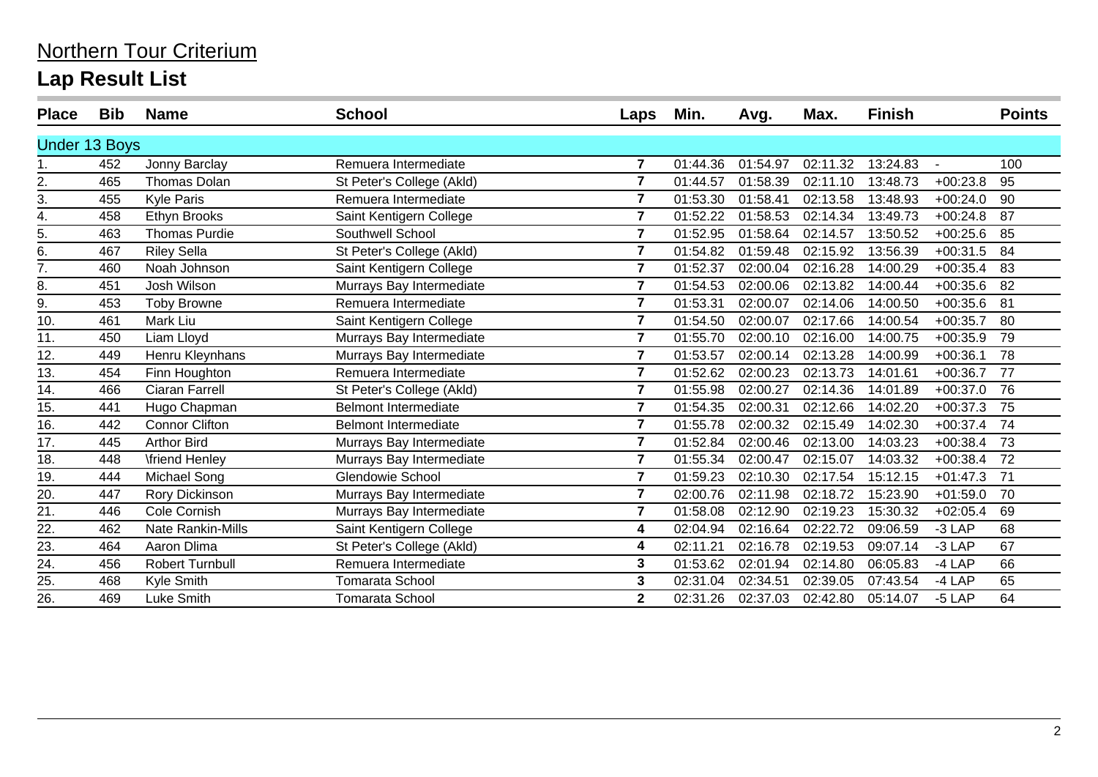| <b>Place</b>         | <b>Bib</b> | <b>Name</b>              | <b>School</b>               | Laps           | Min.     | Avg.     | Max.     | <b>Finish</b> |            | <b>Points</b> |
|----------------------|------------|--------------------------|-----------------------------|----------------|----------|----------|----------|---------------|------------|---------------|
| <b>Under 13 Boys</b> |            |                          |                             |                |          |          |          |               |            |               |
|                      | 452        | Jonny Barclay            | Remuera Intermediate        | $\overline{7}$ | 01:44.36 | 01:54.97 | 02:11.32 | 13:24.83      |            | 100           |
| 2.                   | 465        | <b>Thomas Dolan</b>      | St Peter's College (Akld)   | $\overline{7}$ | 01:44.57 | 01:58.39 | 02:11.10 | 13:48.73      | $+00:23.8$ | 95            |
| 3.                   | 455        | <b>Kyle Paris</b>        | Remuera Intermediate        | $\overline{7}$ | 01:53.30 | 01:58.41 | 02:13.58 | 13:48.93      | $+00:24.0$ | 90            |
| 4.                   | 458        | Ethyn Brooks             | Saint Kentigern College     | $\overline{7}$ | 01:52.22 | 01:58.53 | 02:14.34 | 13:49.73      | $+00:24.8$ | 87            |
| 5.                   | 463        | <b>Thomas Purdie</b>     | Southwell School            | $\overline{7}$ | 01:52.95 | 01:58.64 | 02:14.57 | 13:50.52      | $+00:25.6$ | 85            |
| 6.                   | 467        | <b>Riley Sella</b>       | St Peter's College (Akld)   | 7              | 01:54.82 | 01:59.48 | 02:15.92 | 13:56.39      | $+00:31.5$ | 84            |
| $\overline{7}$ .     | 460        | Noah Johnson             | Saint Kentigern College     | $\overline{7}$ | 01:52.37 | 02:00.04 | 02:16.28 | 14:00.29      | $+00:35.4$ | 83            |
| 8.                   | 451        | Josh Wilson              | Murrays Bay Intermediate    | $\overline{7}$ | 01:54.53 | 02:00.06 | 02:13.82 | 14:00.44      | $+00:35.6$ | 82            |
| 9.                   | 453        | <b>Toby Browne</b>       | Remuera Intermediate        | $\overline{7}$ | 01:53.31 | 02:00.07 | 02:14.06 | 14:00.50      | $+00:35.6$ | 81            |
| 10.                  | 461        | Mark Liu                 | Saint Kentigern College     | $\overline{7}$ | 01:54.50 | 02:00.07 | 02:17.66 | 14:00.54      | $+00:35.7$ | 80            |
| 11.                  | 450        | Liam Lloyd               | Murrays Bay Intermediate    | $\overline{7}$ | 01:55.70 | 02:00.10 | 02:16.00 | 14:00.75      | $+00:35.9$ | 79            |
| 12.                  | 449        | Henru Kleynhans          | Murrays Bay Intermediate    | 7              | 01:53.57 | 02:00.14 | 02:13.28 | 14:00.99      | $+00:36.1$ | 78            |
| 13.                  | 454        | Finn Houghton            | Remuera Intermediate        | $\overline{7}$ | 01:52.62 | 02:00.23 | 02:13.73 | 14:01.61      | $+00:36.7$ | 77            |
| 14.                  | 466        | Ciaran Farrell           | St Peter's College (Akld)   | $\overline{7}$ | 01:55.98 | 02:00.27 | 02:14.36 | 14:01.89      | $+00:37.0$ | 76            |
| 15.                  | 441        | Hugo Chapman             | <b>Belmont Intermediate</b> | $\overline{7}$ | 01:54.35 | 02:00.31 | 02:12.66 | 14:02.20      | $+00:37.3$ | 75            |
| 16.                  | 442        | <b>Connor Clifton</b>    | <b>Belmont Intermediate</b> | $\overline{7}$ | 01:55.78 | 02:00.32 | 02:15.49 | 14:02.30      | $+00:37.4$ | 74            |
| $\overline{17}$ .    | 445        | <b>Arthor Bird</b>       | Murrays Bay Intermediate    | $\overline{7}$ | 01:52.84 | 02:00.46 | 02:13.00 | 14:03.23      | $+00:38.4$ | 73            |
| 18.                  | 448        | <b>\friend Henley</b>    | Murrays Bay Intermediate    | $\overline{7}$ | 01:55.34 | 02:00.47 | 02:15.07 | 14:03.32      | $+00:38.4$ | 72            |
| 19.                  | 444        | Michael Song             | <b>Glendowie School</b>     | $\overline{7}$ | 01:59.23 | 02:10.30 | 02:17.54 | 15:12.15      | $+01:47.3$ | 71            |
| 20.                  | 447        | Rory Dickinson           | Murrays Bay Intermediate    | $\overline{7}$ | 02:00.76 | 02:11.98 | 02:18.72 | 15:23.90      | $+01:59.0$ | 70            |
| 21.                  | 446        | Cole Cornish             | Murrays Bay Intermediate    | $\overline{7}$ | 01:58.08 | 02:12.90 | 02:19.23 | 15:30.32      | $+02:05.4$ | 69            |
| 22.                  | 462        | <b>Nate Rankin-Mills</b> | Saint Kentigern College     | 4              | 02:04.94 | 02:16.64 | 02:22.72 | 09:06.59      | $-3$ LAP   | 68            |
| 23.                  | 464        | Aaron Dlima              | St Peter's College (Akld)   | 4              | 02:11.21 | 02:16.78 | 02:19.53 | 09:07.14      | $-3$ LAP   | 67            |
| 24.                  | 456        | <b>Robert Turnbull</b>   | Remuera Intermediate        | 3              | 01:53.62 | 02:01.94 | 02:14.80 | 06:05.83      | $-4$ LAP   | 66            |
| 25.                  | 468        | Kyle Smith               | Tomarata School             | 3              | 02:31.04 | 02:34.51 | 02:39.05 | 07:43.54      | $-4$ LAP   | 65            |
| 26.                  | 469        | Luke Smith               | <b>Tomarata School</b>      | $\mathbf{2}$   | 02:31.26 | 02:37.03 | 02:42.80 | 05:14.07      | $-5$ LAP   | 64            |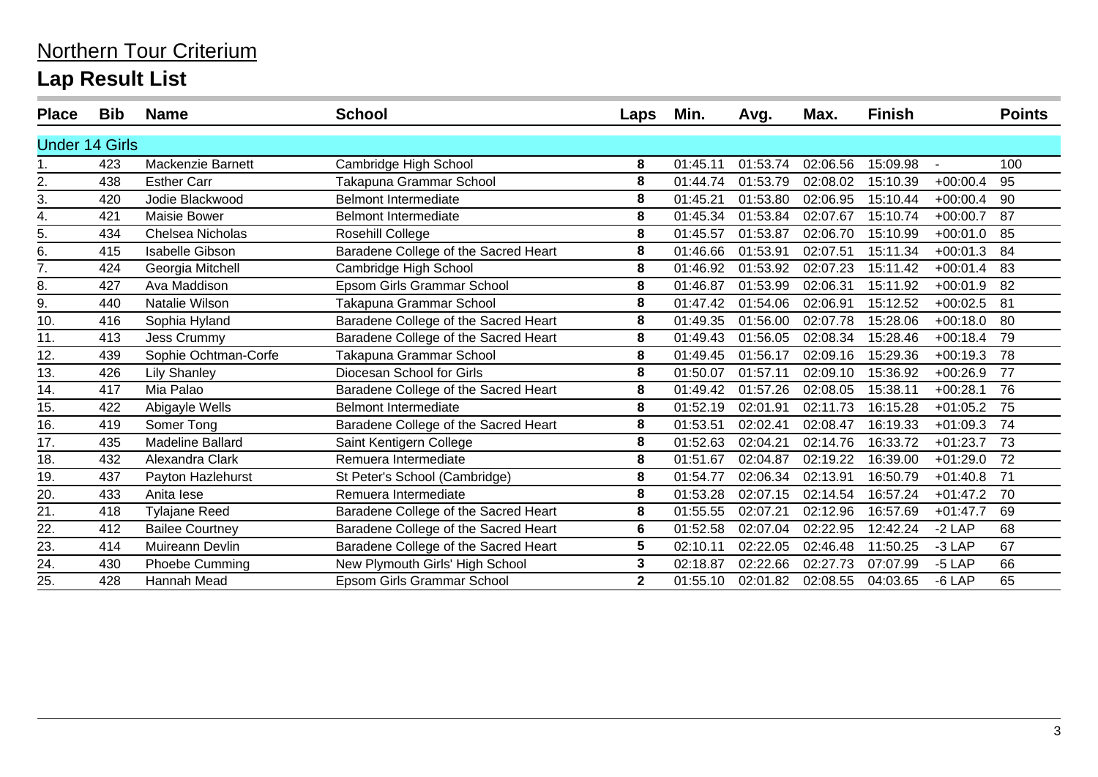| <b>Place</b>          | <b>Bib</b> | <b>Name</b>            | <b>School</b>                        | Laps         | Min.     | Avg.     | Max.     | <b>Finish</b> |            | <b>Points</b> |
|-----------------------|------------|------------------------|--------------------------------------|--------------|----------|----------|----------|---------------|------------|---------------|
| <b>Under 14 Girls</b> |            |                        |                                      |              |          |          |          |               |            |               |
|                       | 423        | Mackenzie Barnett      | Cambridge High School                | 8            | 01:45.11 | 01:53.74 | 02:06.56 | 15:09.98      |            | 100           |
| 2.                    | 438        | <b>Esther Carr</b>     | Takapuna Grammar School              | 8            | 01:44.74 | 01:53.79 | 02:08.02 | 15:10.39      | $+00:00.4$ | 95            |
| 3.                    | 420        | Jodie Blackwood        | <b>Belmont Intermediate</b>          | 8            | 01:45.21 | 01:53.80 | 02:06.95 | 15:10.44      | $+00:00.4$ | 90            |
| 4.                    | 421        | <b>Maisie Bower</b>    | <b>Belmont Intermediate</b>          | 8            | 01:45.34 | 01:53.84 | 02:07.67 | 15:10.74      | $+00:00.7$ | 87            |
| 5.                    | 434        | Chelsea Nicholas       | Rosehill College                     | 8            | 01:45.57 | 01:53.87 | 02:06.70 | 15:10.99      | $+00:01.0$ | 85            |
| 6.                    | 415        | <b>Isabelle Gibson</b> | Baradene College of the Sacred Heart | 8            | 01:46.66 | 01:53.91 | 02:07.51 | 15:11.34      | $+00:01.3$ | 84            |
| 7.                    | 424        | Georgia Mitchell       | Cambridge High School                | 8            | 01:46.92 | 01:53.92 | 02:07.23 | 15:11.42      | $+00:01.4$ | 83            |
| 8.                    | 427        | Ava Maddison           | Epsom Girls Grammar School           | 8            | 01:46.87 | 01:53.99 | 02:06.31 | 15:11.92      | $+00:01.9$ | 82            |
| 9.                    | 440        | Natalie Wilson         | Takapuna Grammar School              | 8            | 01:47.42 | 01:54.06 | 02:06.91 | 15:12.52      | $+00:02.5$ | 81            |
| 10.                   | 416        | Sophia Hyland          | Baradene College of the Sacred Heart | 8            | 01:49.35 | 01:56.00 | 02:07.78 | 15:28.06      | $+00:18.0$ | 80            |
| 11.                   | 413        | <b>Jess Crummy</b>     | Baradene College of the Sacred Heart | 8            | 01:49.43 | 01:56.05 | 02:08.34 | 15:28.46      | $+00:18.4$ | 79            |
| 12.                   | 439        | Sophie Ochtman-Corfe   | Takapuna Grammar School              | 8            | 01:49.45 | 01:56.17 | 02:09.16 | 15:29.36      | $+00:19.3$ | 78            |
| 13.                   | 426        | <b>Lily Shanley</b>    | Diocesan School for Girls            | 8            | 01:50.07 | 01:57.11 | 02:09.10 | 15:36.92      | $+00:26.9$ | 77            |
| 14.                   | 417        | Mia Palao              | Baradene College of the Sacred Heart | 8            | 01:49.42 | 01:57.26 | 02:08.05 | 15:38.11      | $+00:28.1$ | 76            |
| 15.                   | 422        | Abigayle Wells         | <b>Belmont Intermediate</b>          | 8            | 01:52.19 | 02:01.91 | 02:11.73 | 16:15.28      | $+01:05.2$ | 75            |
| 16.                   | 419        | Somer Tong             | Baradene College of the Sacred Heart | 8            | 01:53.51 | 02:02.41 | 02:08.47 | 16:19.33      | $+01:09.3$ | 74            |
| 17.                   | 435        | Madeline Ballard       | Saint Kentigern College              | 8            | 01:52.63 | 02:04.21 | 02:14.76 | 16:33.72      | $+01:23.7$ | 73            |
| 18.                   | 432        | Alexandra Clark        | Remuera Intermediate                 | 8            | 01:51.67 | 02:04.87 | 02:19.22 | 16:39.00      | $+01:29.0$ | 72            |
| 19.                   | 437        | Payton Hazlehurst      | St Peter's School (Cambridge)        | 8            | 01:54.77 | 02:06.34 | 02:13.91 | 16:50.79      | $+01:40.8$ | 71            |
| 20.                   | 433        | Anita lese             | Remuera Intermediate                 | 8            | 01:53.28 | 02:07.15 | 02:14.54 | 16:57.24      | $+01:47.2$ | 70            |
| 21.                   | 418        | <b>Tylajane Reed</b>   | Baradene College of the Sacred Heart | 8            | 01:55.55 | 02:07.21 | 02:12.96 | 16:57.69      | $+01:47.7$ | 69            |
| 22.                   | 412        | <b>Bailee Courtney</b> | Baradene College of the Sacred Heart | 6            | 01:52.58 | 02:07.04 | 02:22.95 | 12:42.24      | $-2$ LAP   | 68            |
| 23.                   | 414        | Muireann Devlin        | Baradene College of the Sacred Heart | 5            | 02:10.11 | 02:22.05 | 02:46.48 | 11:50.25      | -3 LAP     | 67            |
| 24.                   | 430        | Phoebe Cumming         | New Plymouth Girls' High School      | 3            | 02:18.87 | 02:22.66 | 02:27.73 | 07:07.99      | $-5$ LAP   | 66            |
| 25.                   | 428        | Hannah Mead            | Epsom Girls Grammar School           | $\mathbf{2}$ | 01:55.10 | 02:01.82 | 02:08.55 | 04:03.65      | $-6$ LAP   | 65            |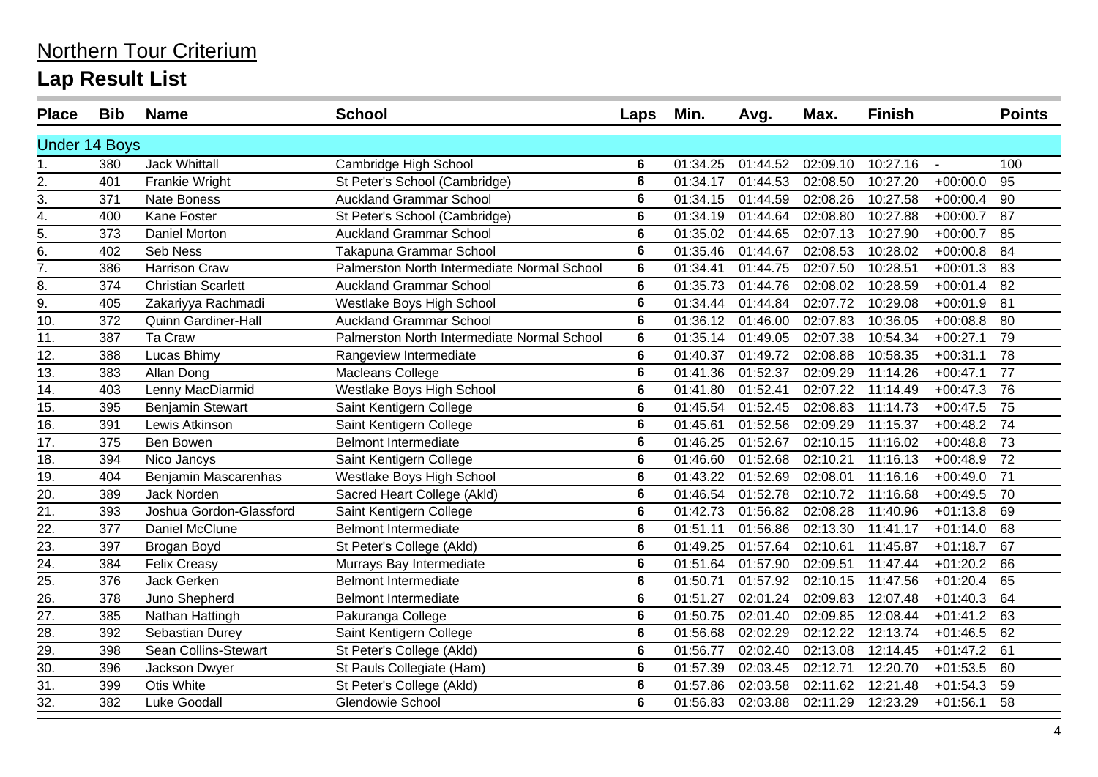| <b>Place</b>         | <b>Bib</b> | <b>Name</b>                | <b>School</b>                               | Laps | Min.                   | Avg.     | Max.     | <b>Finish</b> |            | <b>Points</b>   |
|----------------------|------------|----------------------------|---------------------------------------------|------|------------------------|----------|----------|---------------|------------|-----------------|
| <b>Under 14 Boys</b> |            |                            |                                             |      |                        |          |          |               |            |                 |
| 1.                   | 380        | <b>Jack Whittall</b>       | Cambridge High School                       | 6    | 01:34.25               | 01:44.52 | 02:09.10 | 10:27.16      | $\sim$     | 100             |
| 2.                   | 401        | Frankie Wright             | St Peter's School (Cambridge)               | 6    | 01:34.17               | 01:44.53 | 02:08.50 | 10:27.20      | $+00:00.0$ | 95              |
| 3.                   | 371        | <b>Nate Boness</b>         | <b>Auckland Grammar School</b>              | 6    | 01:34.15               | 01:44.59 | 02:08.26 | 10:27.58      | $+00:00.4$ | 90              |
| 4.                   | 400        | Kane Foster                | St Peter's School (Cambridge)               | 6    | 01:34.19               | 01:44.64 | 02:08.80 | 10:27.88      | $+00:00.7$ | 87              |
| $\overline{5}$ .     | 373        | <b>Daniel Morton</b>       | <b>Auckland Grammar School</b>              | 6    | 01:35.02               | 01:44.65 | 02:07.13 | 10:27.90      | $+00:00.7$ | 85              |
| $\overline{6}$ .     | 402        | Seb Ness                   | Takapuna Grammar School                     | 6    | 01:35.46               | 01:44.67 | 02:08.53 | 10:28.02      | $+00:00.8$ | 84              |
| $\overline{7}$ .     | 386        | <b>Harrison Craw</b>       | Palmerston North Intermediate Normal School | 6    | 01:34.41               | 01:44.75 | 02:07.50 | 10:28.51      | $+00:01.3$ | 83              |
| 8.                   | 374        | <b>Christian Scarlett</b>  | <b>Auckland Grammar School</b>              | 6    | 01:35.73               | 01:44.76 | 02:08.02 | 10:28.59      | $+00:01.4$ | 82              |
| $\overline{9}$ .     | 405        | Zakariyya Rachmadi         | Westlake Boys High School                   | 6    | 01:34.44               | 01:44.84 | 02:07.72 | 10:29.08      | $+00:01.9$ | 81              |
| 10.                  | 372        | <b>Quinn Gardiner-Hall</b> | <b>Auckland Grammar School</b>              | 6    | 01:36.12               | 01:46.00 | 02:07.83 | 10:36.05      | $+00:08.8$ | 80              |
| 11.                  | 387        | Ta Craw                    | Palmerston North Intermediate Normal School | 6    | 01:35.14               | 01:49.05 | 02:07.38 | 10:54.34      | $+00:27.1$ | 79              |
| 12.                  | 388        | Lucas Bhimy                | Rangeview Intermediate                      | 6    | 01:40.37               | 01:49.72 | 02:08.88 | 10:58.35      | $+00:31.1$ | 78              |
| $\overline{13}$ .    | 383        | Allan Dong                 | Macleans College                            | 6    | 01:41.36               | 01:52.37 | 02:09.29 | 11:14.26      | $+00:47.1$ | $\overline{77}$ |
| 14.                  | 403        | Lenny MacDiarmid           | Westlake Boys High School                   | 6    | 01:41.80               | 01:52.41 | 02:07.22 | 11:14.49      | $+00:47.3$ | 76              |
| $\overline{15}$ .    | 395        | <b>Benjamin Stewart</b>    | Saint Kentigern College                     | 6    | 01:45.54               | 01:52.45 | 02:08.83 | 11:14.73      | $+00:47.5$ | 75              |
| 16.                  | 391        | Lewis Atkinson             | Saint Kentigern College                     | 6    | 01:45.61               | 01:52.56 | 02:09.29 | 11:15.37      | $+00:48.2$ | 74              |
| 17.                  | 375        | Ben Bowen                  | <b>Belmont Intermediate</b>                 | 6    | $\overline{01}$ :46.25 | 01:52.67 | 02:10.15 | 11:16.02      | $+00:48.8$ | 73              |
| 18.                  | 394        | Nico Jancys                | Saint Kentigern College                     | 6    | 01:46.60               | 01:52.68 | 02:10.21 | 11:16.13      | $+00:48.9$ | 72              |
| 19.                  | 404        | Benjamin Mascarenhas       | Westlake Boys High School                   | 6    | 01:43.22               | 01:52.69 | 02:08.01 | 11:16.16      | $+00:49.0$ | $\overline{71}$ |
| 20.                  | 389        | Jack Norden                | Sacred Heart College (Akld)                 | 6    | 01:46.54               | 01:52.78 | 02:10.72 | 11:16.68      | $+00:49.5$ | 70              |
| $\overline{21}$      | 393        | Joshua Gordon-Glassford    | Saint Kentigern College                     | 6    | 01:42.73               | 01:56.82 | 02:08.28 | 11:40.96      | $+01:13.8$ | 69              |
| $\frac{22}{23}$      | 377        | Daniel McClune             | <b>Belmont Intermediate</b>                 | 6    | 01:51.11               | 01:56.86 | 02:13.30 | 11:41.17      | $+01:14.0$ | 68              |
|                      | 397        | Brogan Boyd                | St Peter's College (Akld)                   | 6    | 01:49.25               | 01:57.64 | 02:10.61 | 11:45.87      | $+01:18.7$ | 67              |
| $\overline{24}$ .    | 384        | <b>Felix Creasy</b>        | Murrays Bay Intermediate                    | 6    | 01:51.64               | 01:57.90 | 02:09.51 | 11:47.44      | $+01:20.2$ | 66              |
| 25.                  | 376        | Jack Gerken                | <b>Belmont Intermediate</b>                 | 6    | 01:50.71               | 01:57.92 | 02:10.15 | 11:47.56      | $+01:20.4$ | 65              |
| 26.                  | 378        | Juno Shepherd              | <b>Belmont Intermediate</b>                 | 6    | 01:51.27               | 02:01.24 | 02:09.83 | 12:07.48      | $+01:40.3$ | 64              |
| 27.                  | 385        | Nathan Hattingh            | Pakuranga College                           | 6    | 01:50.75               | 02:01.40 | 02:09.85 | 12:08.44      | $+01:41.2$ | 63              |
| 28.                  | 392        | Sebastian Durey            | Saint Kentigern College                     | 6    | 01:56.68               | 02:02.29 | 02:12.22 | 12:13.74      | $+01:46.5$ | 62              |
| 29.                  | 398        | Sean Collins-Stewart       | St Peter's College (Akld)                   | 6    | 01:56.77               | 02:02.40 | 02:13.08 | 12:14.45      | $+01:47.2$ | 61              |
| 30.                  | 396        | Jackson Dwyer              | St Pauls Collegiate (Ham)                   | 6    | 01:57.39               | 02:03.45 | 02:12.71 | 12:20.70      | $+01:53.5$ | 60              |
| 31.                  | 399        | Otis White                 | St Peter's College (Akld)                   | 6    | 01:57.86               | 02:03.58 | 02:11.62 | 12:21.48      | $+01:54.3$ | 59              |
| 32.                  | 382        | Luke Goodall               | <b>Glendowie School</b>                     | 6    | 01:56.83               | 02:03.88 | 02:11.29 | 12:23.29      | $+01:56.1$ | 58              |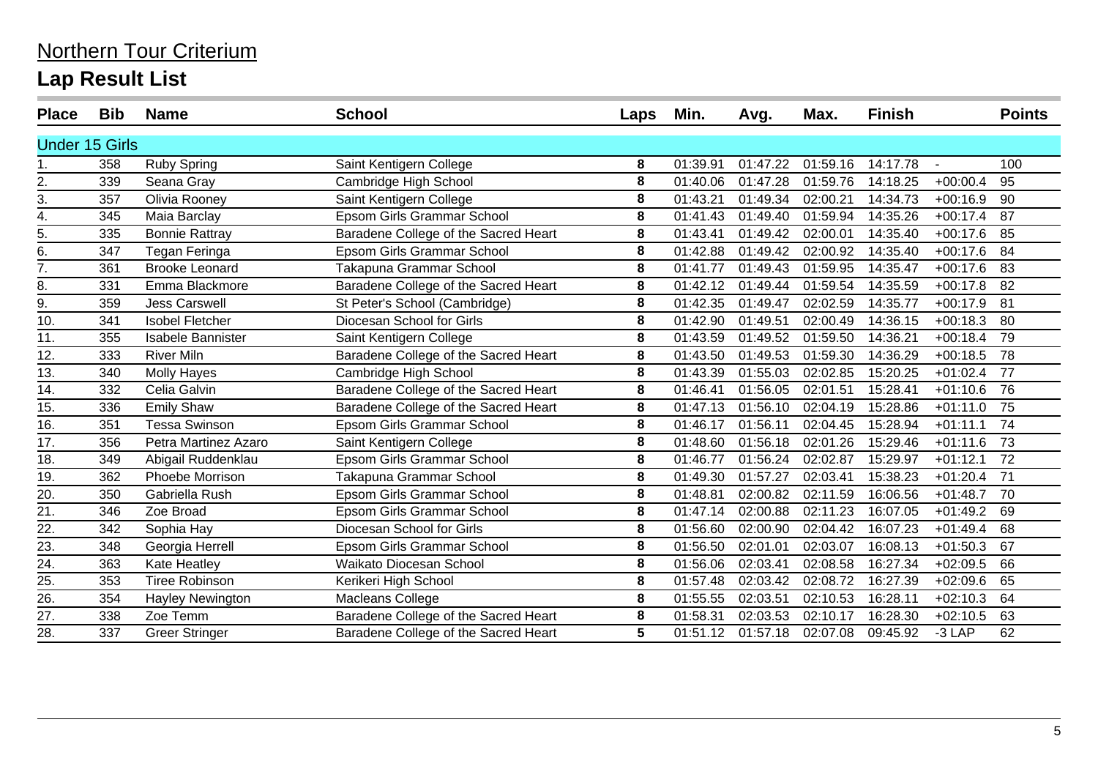| <b>Place</b>          | <b>Bib</b> | <b>Name</b>              | <b>School</b>                        | Laps | Min.     | Avg.     | Max.     | <b>Finish</b> |            | <b>Points</b> |
|-----------------------|------------|--------------------------|--------------------------------------|------|----------|----------|----------|---------------|------------|---------------|
| <b>Under 15 Girls</b> |            |                          |                                      |      |          |          |          |               |            |               |
|                       | 358        | <b>Ruby Spring</b>       | Saint Kentigern College              | 8    | 01:39.91 | 01:47.22 | 01:59.16 | 14:17.78      |            | 100           |
| 2.                    | 339        | Seana Gray               | Cambridge High School                | 8    | 01:40.06 | 01:47.28 | 01:59.76 | 14:18.25      | $+00:00.4$ | 95            |
| 3.                    | 357        | Olivia Rooney            | Saint Kentigern College              | 8    | 01:43.21 | 01:49.34 | 02:00.21 | 14:34.73      | $+00:16.9$ | 90            |
| 4.                    | 345        | Maia Barclay             | <b>Epsom Girls Grammar School</b>    | 8    | 01:41.43 | 01:49.40 | 01:59.94 | 14:35.26      | $+00:17.4$ | 87            |
| 5.                    | 335        | <b>Bonnie Rattray</b>    | Baradene College of the Sacred Heart | 8    | 01:43.41 | 01:49.42 | 02:00.01 | 14:35.40      | $+00:17.6$ | 85            |
| 6.                    | 347        | Tegan Feringa            | <b>Epsom Girls Grammar School</b>    | 8    | 01:42.88 | 01:49.42 | 02:00.92 | 14:35.40      | $+00:17.6$ | 84            |
| $\frac{1}{7}$         | 361        | <b>Brooke Leonard</b>    | Takapuna Grammar School              | 8    | 01:41.77 | 01:49.43 | 01:59.95 | 14:35.47      | $+00:17.6$ | 83            |
| 8.                    | 331        | Emma Blackmore           | Baradene College of the Sacred Heart | 8    | 01:42.12 | 01:49.44 | 01:59.54 | 14:35.59      | $+00:17.8$ | 82            |
| $\overline{9}$ .      | 359        | <b>Jess Carswell</b>     | St Peter's School (Cambridge)        | 8    | 01:42.35 | 01:49.47 | 02:02.59 | 14:35.77      | $+00:17.9$ | 81            |
| 10.                   | 341        | <b>Isobel Fletcher</b>   | Diocesan School for Girls            | 8    | 01:42.90 | 01:49.51 | 02:00.49 | 14:36.15      | $+00:18.3$ | 80            |
| 11.                   | 355        | <b>Isabele Bannister</b> | Saint Kentigern College              | 8    | 01:43.59 | 01:49.52 | 01:59.50 | 14:36.21      | $+00:18.4$ | 79            |
| 12.                   | 333        | <b>River Miln</b>        | Baradene College of the Sacred Heart | 8    | 01:43.50 | 01:49.53 | 01:59.30 | 14:36.29      | $+00:18.5$ | 78            |
| 13.                   | 340        | <b>Molly Hayes</b>       | Cambridge High School                | 8    | 01:43.39 | 01:55.03 | 02:02.85 | 15:20.25      | $+01:02.4$ | 77            |
| 14.                   | 332        | Celia Galvin             | Baradene College of the Sacred Heart | 8    | 01:46.41 | 01:56.05 | 02:01.51 | 15:28.41      | $+01:10.6$ | 76            |
| 15.                   | 336        | <b>Emily Shaw</b>        | Baradene College of the Sacred Heart | 8    | 01:47.13 | 01:56.10 | 02:04.19 | 15:28.86      | $+01:11.0$ | 75            |
| 16.                   | 351        | <b>Tessa Swinson</b>     | Epsom Girls Grammar School           | 8    | 01:46.17 | 01:56.11 | 02:04.45 | 15:28.94      | $+01:11.1$ | 74            |
| 17.                   | 356        | Petra Martinez Azaro     | Saint Kentigern College              | 8    | 01:48.60 | 01:56.18 | 02:01.26 | 15:29.46      | $+01:11.6$ | 73            |
| 18.                   | 349        | Abigail Ruddenklau       | <b>Epsom Girls Grammar School</b>    | 8    | 01:46.77 | 01:56.24 | 02:02.87 | 15:29.97      | $+01:12.1$ | 72            |
| 19.                   | 362        | Phoebe Morrison          | Takapuna Grammar School              | 8    | 01:49.30 | 01:57.27 | 02:03.41 | 15:38.23      | $+01:20.4$ | 71            |
| 20.                   | 350        | Gabriella Rush           | Epsom Girls Grammar School           | 8    | 01:48.81 | 02:00.82 | 02:11.59 | 16:06.56      | $+01:48.7$ | 70            |
| $\frac{1}{21}$        | 346        | Zoe Broad                | Epsom Girls Grammar School           | 8    | 01:47.14 | 02:00.88 | 02:11.23 | 16:07.05      | $+01:49.2$ | 69            |
| 22.                   | 342        | Sophia Hay               | Diocesan School for Girls            | 8    | 01:56.60 | 02:00.90 | 02:04.42 | 16:07.23      | $+01:49.4$ | 68            |
| $\overline{23}$ .     | 348        | Georgia Herrell          | Epsom Girls Grammar School           | 8    | 01:56.50 | 02:01.01 | 02:03.07 | 16:08.13      | $+01:50.3$ | 67            |
| 24.                   | 363        | Kate Heatley             | Waikato Diocesan School              | 8    | 01:56.06 | 02:03.41 | 02:08.58 | 16:27.34      | $+02:09.5$ | 66            |
| 25.                   | 353        | Tiree Robinson           | Kerikeri High School                 | 8    | 01:57.48 | 02:03.42 | 02:08.72 | 16:27.39      | $+02:09.6$ | 65            |
| 26.                   | 354        | Hayley Newington         | Macleans College                     | 8    | 01:55.55 | 02:03.51 | 02:10.53 | 16:28.11      | $+02:10.3$ | 64            |
| $\overline{27}$ .     | 338        | Zoe Temm                 | Baradene College of the Sacred Heart | 8    | 01:58.31 | 02:03.53 | 02:10.17 | 16:28.30      | $+02:10.5$ | 63            |
| 28.                   | 337        | <b>Greer Stringer</b>    | Baradene College of the Sacred Heart | 5    | 01:51.12 | 01:57.18 | 02:07.08 | 09:45.92      | $-3$ LAP   | 62            |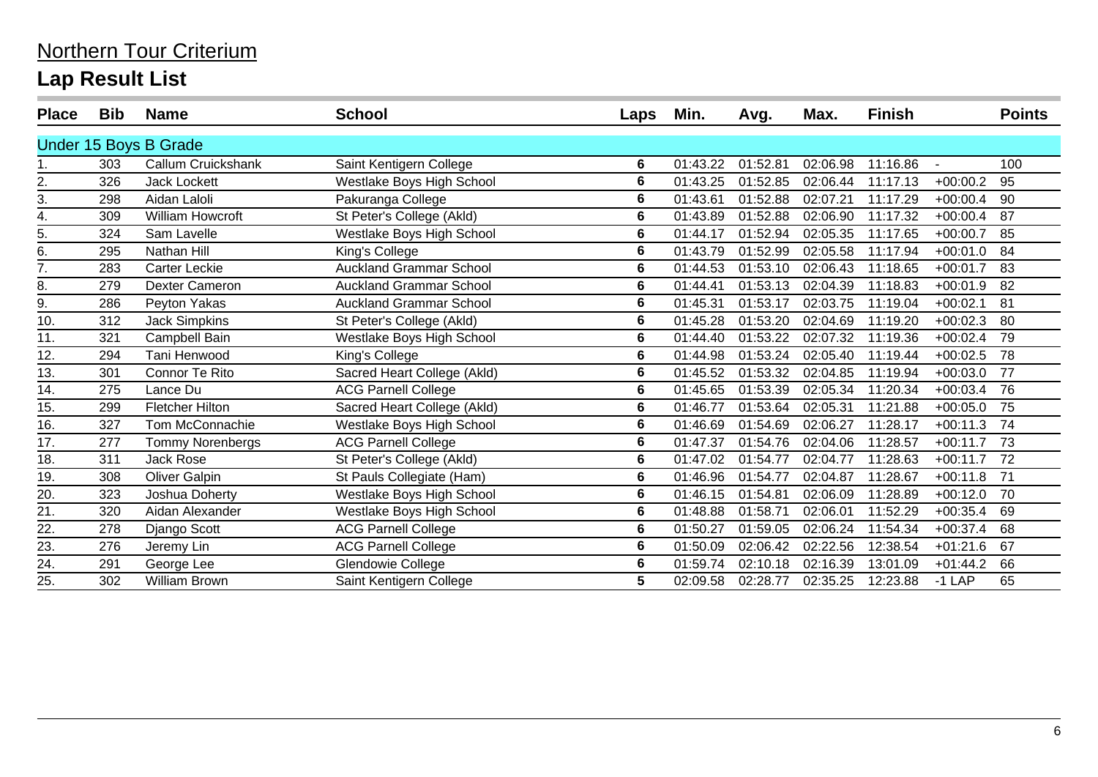| <b>Place</b> | <b>Bib</b> | <b>Name</b>             | <b>School</b>                  | Laps | Min.     | Avg.     | Max.     | <b>Finish</b> |            | <b>Points</b> |
|--------------|------------|-------------------------|--------------------------------|------|----------|----------|----------|---------------|------------|---------------|
|              |            | Under 15 Boys B Grade   |                                |      |          |          |          |               |            |               |
|              | 303        | Callum Cruickshank      | Saint Kentigern College        | 6    | 01:43.22 | 01:52.81 | 02:06.98 | 11:16.86      |            | 100           |
| 2.           | 326        | Jack Lockett            | Westlake Boys High School      | 6    | 01:43.25 | 01:52.85 | 02:06.44 | 11:17.13      | $+00:00.2$ | 95            |
| 3.           | 298        | Aidan Laloli            | Pakuranga College              | 6    | 01:43.61 | 01:52.88 | 02:07.21 | 11:17.29      | $+00:00.4$ | 90            |
| 4.           | 309        | <b>William Howcroft</b> | St Peter's College (Akld)      | 6    | 01:43.89 | 01:52.88 | 02:06.90 | 11:17.32      | $+00:00.4$ | 87            |
| 5.           | 324        | Sam Lavelle             | Westlake Boys High School      | 6    | 01:44.17 | 01:52.94 | 02:05.35 | 11:17.65      | $+00:00.7$ | 85            |
| 6.           | 295        | Nathan Hill             | King's College                 | 6    | 01:43.79 | 01:52.99 | 02:05.58 | 11:17.94      | $+00:01.0$ | 84            |
| 7.           | 283        | <b>Carter Leckie</b>    | <b>Auckland Grammar School</b> | 6    | 01:44.53 | 01:53.10 | 02:06.43 | 11:18.65      | $+00:01.7$ | 83            |
| 8.           | 279        | <b>Dexter Cameron</b>   | <b>Auckland Grammar School</b> | 6    | 01:44.41 | 01:53.13 | 02:04.39 | 11:18.83      | $+00:01.9$ | 82            |
| 9.           | 286        | Peyton Yakas            | <b>Auckland Grammar School</b> | 6    | 01:45.31 | 01:53.17 | 02:03.75 | 11:19.04      | $+00:02.1$ | 81            |
| 10.          | 312        | <b>Jack Simpkins</b>    | St Peter's College (Akld)      | 6    | 01:45.28 | 01:53.20 | 02:04.69 | 11:19.20      | $+00:02.3$ | 80            |
| 11.          | 321        | Campbell Bain           | Westlake Boys High School      | 6    | 01:44.40 | 01:53.22 | 02:07.32 | 11:19.36      | $+00:02.4$ | 79            |
| 12.          | 294        | Tani Henwood            | King's College                 | 6    | 01:44.98 | 01:53.24 | 02:05.40 | 11:19.44      | $+00:02.5$ | 78            |
| 13.          | 301        | Connor Te Rito          | Sacred Heart College (Akld)    | 6    | 01:45.52 | 01:53.32 | 02:04.85 | 11:19.94      | $+00:03.0$ | 77            |
| 14.          | 275        | Lance Du                | <b>ACG Parnell College</b>     | 6    | 01:45.65 | 01:53.39 | 02:05.34 | 11:20.34      | $+00:03.4$ | 76            |
| 15.          | 299        | <b>Fletcher Hilton</b>  | Sacred Heart College (Akld)    | 6    | 01:46.77 | 01:53.64 | 02:05.31 | 11:21.88      | $+00:05.0$ | 75            |
| 16.          | 327        | Tom McConnachie         | Westlake Boys High School      | 6    | 01:46.69 | 01:54.69 | 02:06.27 | 11:28.17      | $+00:11.3$ | 74            |
| 17.          | 277        | <b>Tommy Norenbergs</b> | <b>ACG Parnell College</b>     | 6    | 01:47.37 | 01:54.76 | 02:04.06 | 11:28.57      | $+00:11.7$ | -73           |
| 18.          | 311        | Jack Rose               | St Peter's College (Akld)      | 6    | 01:47.02 | 01:54.77 | 02:04.77 | 11:28.63      | $+00:11.7$ | 72            |
| 19.          | 308        | Oliver Galpin           | St Pauls Collegiate (Ham)      | 6    | 01:46.96 | 01:54.77 | 02:04.87 | 11:28.67      | $+00:11.8$ | 71            |
| 20.          | 323        | Joshua Doherty          | Westlake Boys High School      | 6    | 01:46.15 | 01:54.81 | 02:06.09 | 11:28.89      | $+00:12.0$ | 70            |
| 21.          | 320        | Aidan Alexander         | Westlake Boys High School      | 6    | 01:48.88 | 01:58.71 | 02:06.01 | 11:52.29      | $+00:35.4$ | 69            |
| 22.          | 278        | Django Scott            | <b>ACG Parnell College</b>     | 6    | 01:50.27 | 01:59.05 | 02:06.24 | 11:54.34      | $+00:37.4$ | 68            |
| 23.          | 276        | Jeremy Lin              | <b>ACG Parnell College</b>     | 6    | 01:50.09 | 02:06.42 | 02:22.56 | 12:38.54      | $+01:21.6$ | 67            |
| 24.          | 291        | George Lee              | Glendowie College              | 6    | 01:59.74 | 02:10.18 | 02:16.39 | 13:01.09      | $+01:44.2$ | 66            |
| 25.          | 302        | <b>William Brown</b>    | Saint Kentigern College        | 5    | 02:09.58 | 02:28.77 | 02:35.25 | 12:23.88      | $-1$ LAP   | 65            |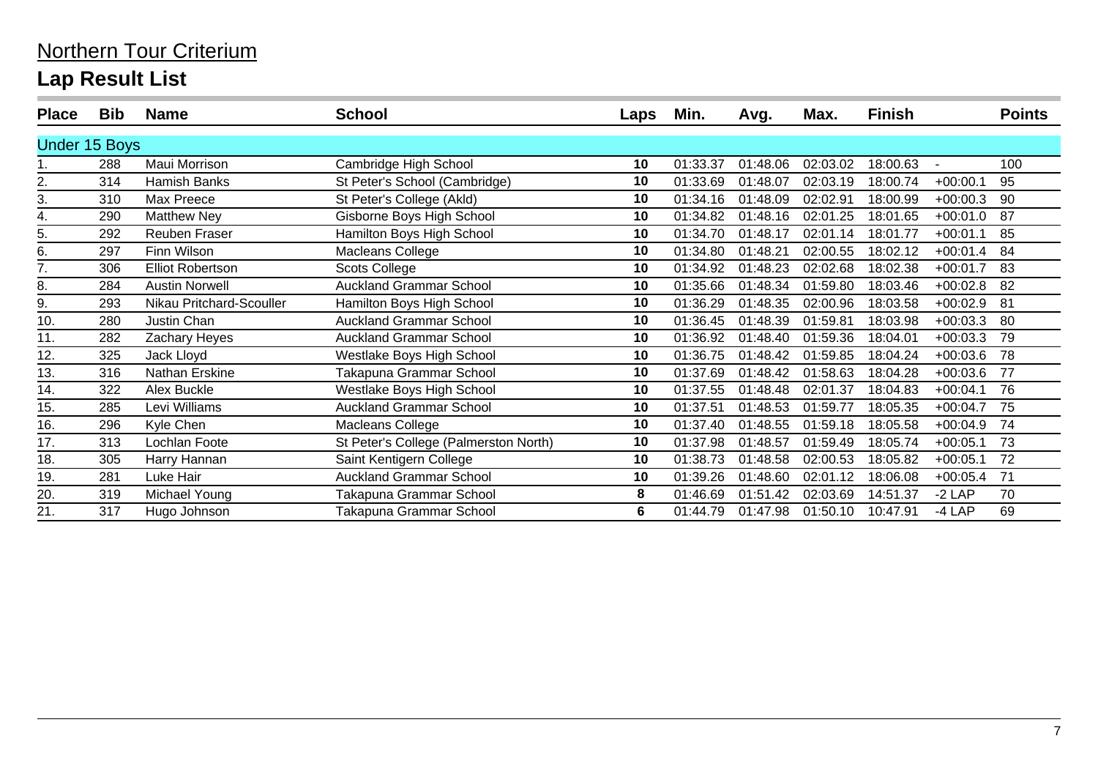| <b>Place</b>  | <b>Bib</b> | <b>Name</b>              | <b>School</b>                         | Laps | Min.     | Avg.     | Max.     | <b>Finish</b> |            | <b>Points</b> |
|---------------|------------|--------------------------|---------------------------------------|------|----------|----------|----------|---------------|------------|---------------|
| Under 15 Boys |            |                          |                                       |      |          |          |          |               |            |               |
|               | 288        | Maui Morrison            | Cambridge High School                 | 10   | 01:33.37 | 01:48.06 | 02:03.02 | 18:00.63      |            | 100           |
| 2.            | 314        | Hamish Banks             | St Peter's School (Cambridge)         | 10   | 01:33.69 | 01:48.07 | 02:03.19 | 18:00.74      | $+00:00.1$ | 95            |
| 3.            | 310        | Max Preece               | St Peter's College (Akld)             | 10   | 01:34.16 | 01:48.09 | 02:02.91 | 18:00.99      | $+00:00.3$ | 90            |
| 4.            | 290        | <b>Matthew Ney</b>       | Gisborne Boys High School             | 10   | 01:34.82 | 01:48.16 | 02:01.25 | 18:01.65      | $+00:01.0$ | 87            |
| 5.            | 292        | Reuben Fraser            | Hamilton Boys High School             | 10   | 01:34.70 | 01:48.17 | 02:01.14 | 18:01.77      | $+00:01.1$ | 85            |
| 6.            | 297        | Finn Wilson              | Macleans College                      | 10   | 01:34.80 | 01:48.21 | 02:00.55 | 18:02.12      | $+00:01.4$ | 84            |
| 7.            | 306        | <b>Elliot Robertson</b>  | <b>Scots College</b>                  | 10   | 01:34.92 | 01:48.23 | 02:02.68 | 18:02.38      | $+00:01.7$ | 83            |
| 8.            | 284        | <b>Austin Norwell</b>    | <b>Auckland Grammar School</b>        | 10   | 01:35.66 | 01:48.34 | 01:59.80 | 18:03.46      | $+00:02.8$ | 82            |
| 9.            | 293        | Nikau Pritchard-Scouller | Hamilton Boys High School             | 10   | 01:36.29 | 01:48.35 | 02:00.96 | 18:03.58      | $+00:02.9$ | 81            |
| 10.           | 280        | Justin Chan              | <b>Auckland Grammar School</b>        | 10   | 01:36.45 | 01:48.39 | 01:59.81 | 18:03.98      | $+00:03.3$ | 80            |
| 11.           | 282        | Zachary Heyes            | <b>Auckland Grammar School</b>        | 10   | 01:36.92 | 01:48.40 | 01:59.36 | 18:04.01      | $+00:03.3$ | 79            |
| 12.           | 325        | Jack Lloyd               | Westlake Boys High School             | 10   | 01:36.75 | 01:48.42 | 01:59.85 | 18:04.24      | $+00:03.6$ | 78            |
| 13.           | 316        | Nathan Erskine           | Takapuna Grammar School               | 10   | 01:37.69 | 01:48.42 | 01:58.63 | 18:04.28      | $+00:03.6$ | 77            |
| 14.           | 322        | Alex Buckle              | Westlake Boys High School             | 10   | 01:37.55 | 01:48.48 | 02:01.37 | 18:04.83      | $+00:04.1$ | 76            |
| 15.           | 285        | Levi Williams            | <b>Auckland Grammar School</b>        | 10   | 01:37.51 | 01:48.53 | 01:59.77 | 18:05.35      | $+00:04.7$ | 75            |
| 16.           | 296        | Kyle Chen                | Macleans College                      | 10   | 01:37.40 | 01:48.55 | 01:59.18 | 18:05.58      | $+00:04.9$ | 74            |
| 17.           | 313        | Lochlan Foote            | St Peter's College (Palmerston North) | 10   | 01:37.98 | 01:48.57 | 01:59.49 | 18:05.74      | $+00:05.1$ | 73            |
| 18.           | 305        | Harry Hannan             | Saint Kentigern College               | 10   | 01:38.73 | 01:48.58 | 02:00.53 | 18:05.82      | $+00:05.1$ | 72            |
| 19.           | 281        | Luke Hair                | <b>Auckland Grammar School</b>        | 10   | 01:39.26 | 01:48.60 | 02:01.12 | 18:06.08      | $+00:05.4$ | 71            |
| 20.           | 319        | Michael Young            | Takapuna Grammar School               | 8    | 01:46.69 | 01:51.42 | 02:03.69 | 14:51.37      | $-2$ LAP   | 70            |
| 21.           | 317        | Hugo Johnson             | Takapuna Grammar School               | 6    | 01:44.79 | 01:47.98 | 01:50.10 | 10:47.91      | $-4$ LAP   | 69            |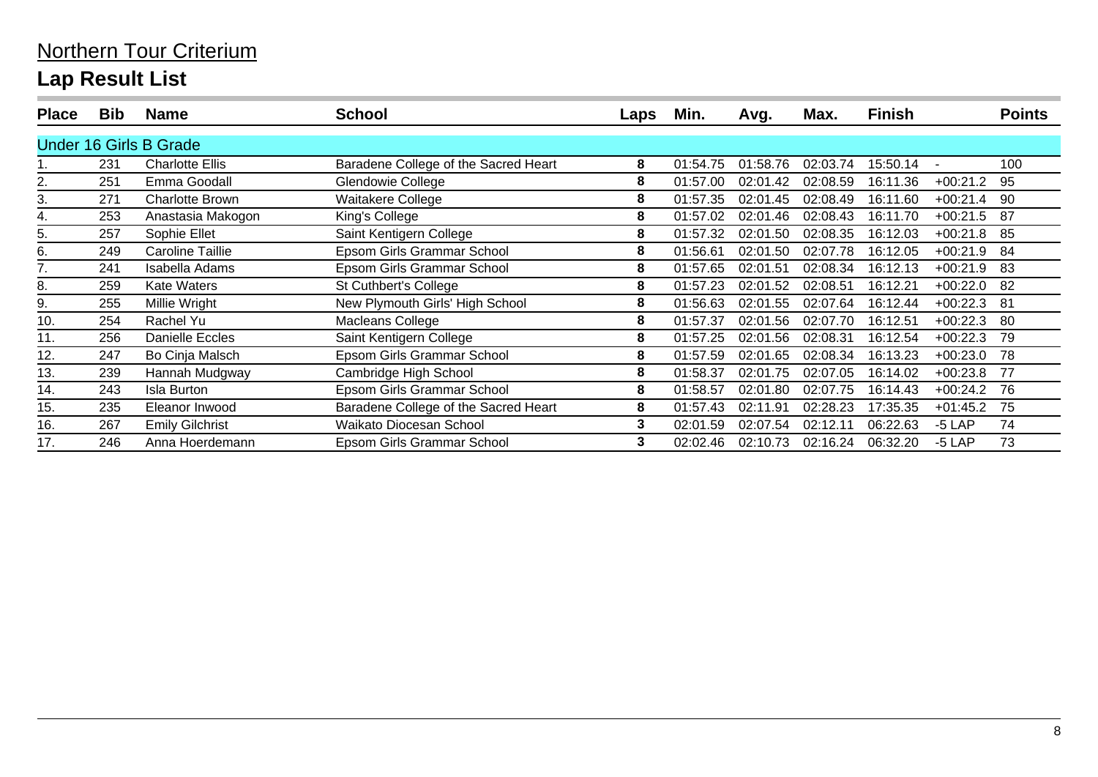| <b>Place</b> | <b>Bib</b> | <b>Name</b>                   | School                               | Laps | Min.     | Avg.     | Max.     | <b>Finish</b> |            | <b>Points</b> |
|--------------|------------|-------------------------------|--------------------------------------|------|----------|----------|----------|---------------|------------|---------------|
|              |            | <b>Under 16 Girls B Grade</b> |                                      |      |          |          |          |               |            |               |
|              | 231        | <b>Charlotte Ellis</b>        | Baradene College of the Sacred Heart | 8    | 01:54.75 | 01:58.76 | 02:03.74 | 15:50.14      |            | 100           |
| 2.           | 251        | Emma Goodall                  | Glendowie College                    | 8    | 01:57.00 | 02:01.42 | 02:08.59 | 16:11.36      | $+00:21.2$ | 95            |
| 3.           | 271        | <b>Charlotte Brown</b>        | Waitakere College                    | 8    | 01:57.35 | 02:01.45 | 02:08.49 | 16:11.60      | $+00:21.4$ | 90            |
| 4.           | 253        | Anastasia Makogon             | King's College                       | 8    | 01:57.02 | 02:01.46 | 02:08.43 | 16:11.70      | $+00:21.5$ | 87            |
| 5.           | 257        | Sophie Ellet                  | Saint Kentigern College              | 8    | 01:57.32 | 02:01.50 | 02:08.35 | 16:12.03      | $+00:21.8$ | -85           |
| 6.           | 249        | <b>Caroline Taillie</b>       | Epsom Girls Grammar School           | 8    | 01:56.61 | 02:01.50 | 02:07.78 | 16:12.05      | $+00:21.9$ | 84            |
|              | 241        | Isabella Adams                | <b>Epsom Girls Grammar School</b>    | 8    | 01:57.65 | 02:01.51 | 02:08.34 | 16:12.13      | $+00:21.9$ | 83            |
| 8.           | 259        | <b>Kate Waters</b>            | St Cuthbert's College                | 8    | 01:57.23 | 02:01.52 | 02:08.51 | 16:12.21      | $+00:22.0$ | 82            |
| 9.           | 255        | Millie Wright                 | New Plymouth Girls' High School      | 8    | 01:56.63 | 02:01.55 | 02:07.64 | 16:12.44      | $+00:22.3$ | -81           |
| 10.          | 254        | Rachel Yu                     | Macleans College                     | 8    | 01:57.37 | 02:01.56 | 02:07.70 | 16:12.51      | $+00:22.3$ | -80           |
| 11.          | 256        | <b>Danielle Eccles</b>        | Saint Kentigern College              | 8    | 01:57.25 | 02:01.56 | 02:08.31 | 16:12.54      | $+00:22.3$ | 79            |
| 12.          | 247        | Bo Cinja Malsch               | Epsom Girls Grammar School           | 8    | 01:57.59 | 02:01.65 | 02:08.34 | 16:13.23      | $+00:23.0$ | 78            |
| 13.          | 239        | Hannah Mudgway                | Cambridge High School                | 8    | 01:58.37 | 02:01.75 | 02:07.05 | 16:14.02      | $+00:23.8$ | -77           |
| 14.          | 243        | <b>Isla Burton</b>            | <b>Epsom Girls Grammar School</b>    | 8    | 01:58.57 | 02:01.80 | 02:07.75 | 16:14.43      | $+00:24.2$ | -76           |
| 15.          | 235        | Eleanor Inwood                | Baradene College of the Sacred Heart | 8    | 01:57.43 | 02:11.91 | 02:28.23 | 17:35.35      | $+01:45.2$ | 75            |
| 16.          | 267        | <b>Emily Gilchrist</b>        | Waikato Diocesan School              | 3    | 02:01.59 | 02:07.54 | 02:12.11 | 06:22.63      | $-5$ LAP   | 74            |
| 17.          | 246        | Anna Hoerdemann               | <b>Epsom Girls Grammar School</b>    | 3    | 02:02.46 | 02:10.73 | 02:16.24 | 06:32.20      | $-5$ LAP   | 73            |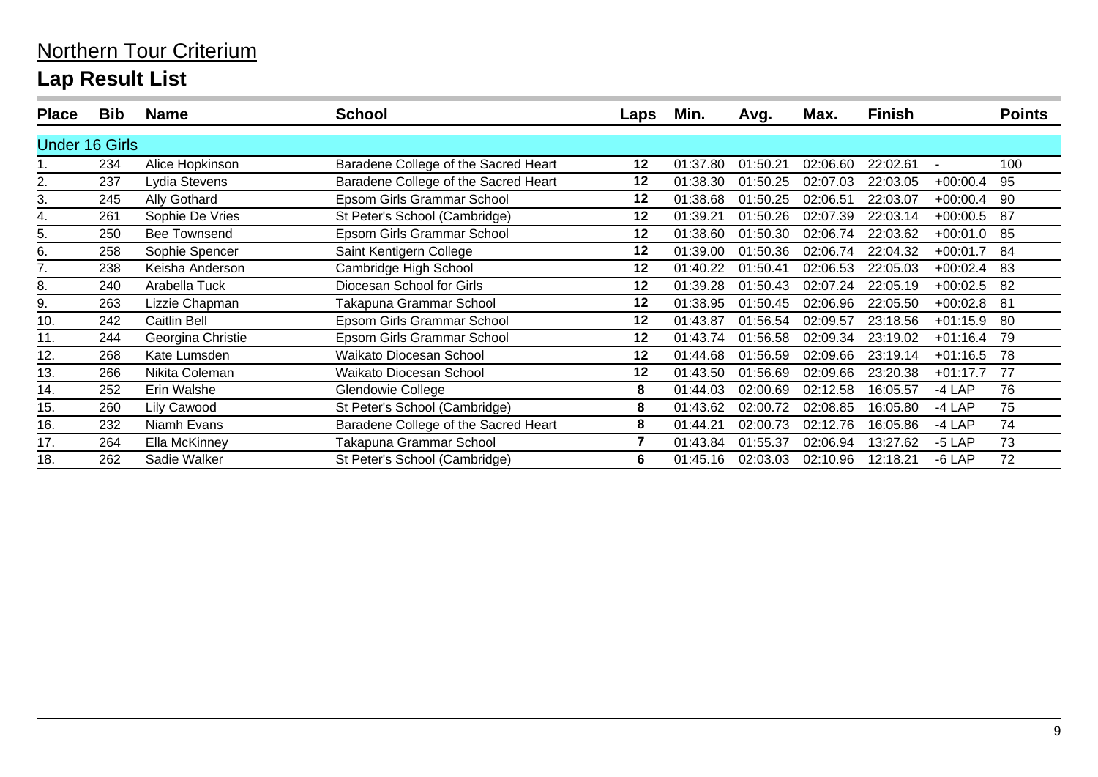| <b>Place</b>          | <b>Bib</b> | <b>Name</b>         | <b>School</b>                        | Laps    | Min.     | Avg.     | Max.     | Finish   |            | <b>Points</b> |
|-----------------------|------------|---------------------|--------------------------------------|---------|----------|----------|----------|----------|------------|---------------|
| <b>Under 16 Girls</b> |            |                     |                                      |         |          |          |          |          |            |               |
|                       | 234        | Alice Hopkinson     | Baradene College of the Sacred Heart | $12 \,$ | 01:37.80 | 01:50.21 | 02:06.60 | 22:02.61 |            | 100           |
| 2.                    | 237        | Lydia Stevens       | Baradene College of the Sacred Heart | 12      | 01:38.30 | 01:50.25 | 02:07.03 | 22:03.05 | $+00:00.4$ | 95            |
| 3.                    | 245        | Ally Gothard        | Epsom Girls Grammar School           | 12      | 01:38.68 | 01:50.25 | 02:06.51 | 22:03.07 | $+00:00.4$ | 90            |
| 4.                    | 261        | Sophie De Vries     | St Peter's School (Cambridge)        | 12      | 01:39.21 | 01:50.26 | 02:07.39 | 22:03.14 | $+00:00.5$ | -87           |
| 5.                    | 250        | <b>Bee Townsend</b> | Epsom Girls Grammar School           | 12      | 01:38.60 | 01:50.30 | 02:06.74 | 22:03.62 | $+00:01.0$ | 85            |
| 6.                    | 258        | Sophie Spencer      | Saint Kentigern College              | 12      | 01:39.00 | 01:50.36 | 02:06.74 | 22:04.32 | $+00:01.7$ | 84            |
| 7.                    | 238        | Keisha Anderson     | Cambridge High School                | 12      | 01:40.22 | 01:50.41 | 02:06.53 | 22:05.03 | $+00:02.4$ | 83            |
| 8.                    | 240        | Arabella Tuck       | Diocesan School for Girls            | 12      | 01:39.28 | 01:50.43 | 02:07.24 | 22:05.19 | $+00:02.5$ | 82            |
| 9.                    | 263        | Lizzie Chapman      | Takapuna Grammar School              | 12      | 01:38.95 | 01:50.45 | 02:06.96 | 22:05.50 | $+00:02.8$ | -81           |
| 10.                   | 242        | Caitlin Bell        | <b>Epsom Girls Grammar School</b>    | 12      | 01:43.87 | 01:56.54 | 02:09.57 | 23:18.56 | $+01:15.9$ | 80            |
| 11.                   | 244        | Georgina Christie   | Epsom Girls Grammar School           | 12      | 01:43.74 | 01:56.58 | 02:09.34 | 23:19.02 | $+01:16.4$ | 79            |
| 12.                   | 268        | Kate Lumsden        | Waikato Diocesan School              | 12      | 01:44.68 | 01:56.59 | 02:09.66 | 23:19.14 | $+01:16.5$ | 78            |
| 13.                   | 266        | Nikita Coleman      | Waikato Diocesan School              | 12      | 01:43.50 | 01:56.69 | 02:09.66 | 23:20.38 | $+01:17.7$ | 77            |
| 14.                   | 252        | Erin Walshe         | Glendowie College                    | 8       | 01:44.03 | 02:00.69 | 02:12.58 | 16:05.57 | $-4$ LAP   | 76            |
| 15.                   | 260        | Lily Cawood         | St Peter's School (Cambridge)        | 8       | 01:43.62 | 02:00.72 | 02:08.85 | 16:05.80 | -4 LAP     | 75            |
| 16.                   | 232        | Niamh Evans         | Baradene College of the Sacred Heart | 8       | 01:44.21 | 02:00.73 | 02:12.76 | 16:05.86 | -4 LAP     | 74            |
| 17.                   | 264        | Ella McKinney       | Takapuna Grammar School              | 7       | 01:43.84 | 01:55.37 | 02:06.94 | 13:27.62 | $-5$ LAP   | 73            |
| 18.                   | 262        | Sadie Walker        | St Peter's School (Cambridge)        | 6       | 01:45.16 | 02:03.03 | 02:10.96 | 12:18.21 | $-6$ LAP   | 72            |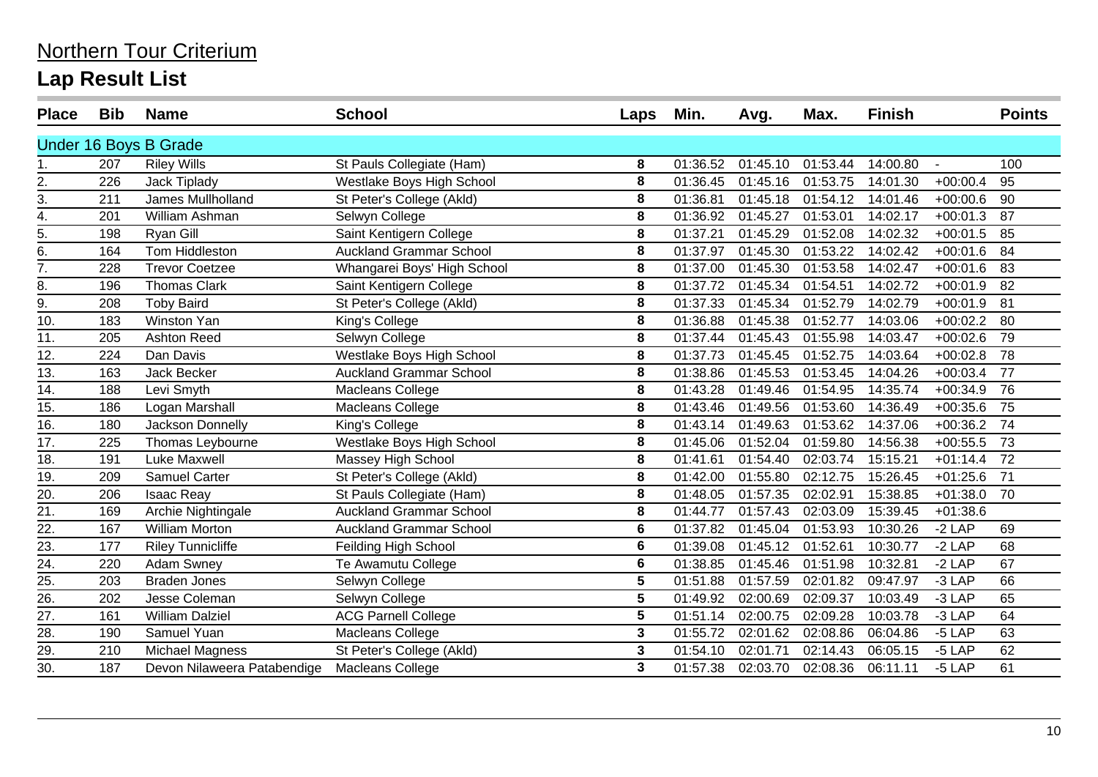| <b>Place</b>      | <b>Bib</b> | <b>Name</b>                 | <b>School</b>                  | Laps | Min.     | Avg.     | Max.     | <b>Finish</b> |            | <b>Points</b> |
|-------------------|------------|-----------------------------|--------------------------------|------|----------|----------|----------|---------------|------------|---------------|
|                   |            | Under 16 Boys B Grade       |                                |      |          |          |          |               |            |               |
| 1.                | 207        | <b>Riley Wills</b>          | St Pauls Collegiate (Ham)      | 8    | 01:36.52 | 01:45.10 | 01:53.44 | 14:00.80      | $\sim$     | 100           |
| 2.                | 226        | <b>Jack Tiplady</b>         | Westlake Boys High School      | 8    | 01:36.45 | 01:45.16 | 01:53.75 | 14:01.30      | $+00:00.4$ | 95            |
| $\frac{1}{3}$     | 211        | James Mullholland           | St Peter's College (Akld)      | 8    | 01:36.81 | 01:45.18 | 01:54.12 | 14:01.46      | $+00:00.6$ | 90            |
| $\overline{4}$ .  | 201        | William Ashman              | Selwyn College                 | 8    | 01:36.92 | 01:45.27 | 01:53.01 | 14:02.17      | $+00:01.3$ | 87            |
| $\overline{5}$ .  | 198        | Ryan Gill                   | Saint Kentigern College        | 8    | 01:37.21 | 01:45.29 | 01:52.08 | 14:02.32      | $+00:01.5$ | 85            |
| $rac{6}{7}$ .     | 164        | Tom Hiddleston              | <b>Auckland Grammar School</b> | 8    | 01:37.97 | 01:45.30 | 01:53.22 | 14:02.42      | $+00:01.6$ | 84            |
|                   | 228        | <b>Trevor Coetzee</b>       | Whangarei Boys' High School    | 8    | 01:37.00 | 01:45.30 | 01:53.58 | 14:02.47      | $+00:01.6$ | 83            |
| 8.                | 196        | <b>Thomas Clark</b>         | Saint Kentigern College        | 8    | 01:37.72 | 01:45.34 | 01:54.51 | 14:02.72      | $+00:01.9$ | 82            |
| $\overline{9}$ .  | 208        | <b>Toby Baird</b>           | St Peter's College (Akld)      | 8    | 01:37.33 | 01:45.34 | 01:52.79 | 14:02.79      | $+00:01.9$ | 81            |
| 10.               | 183        | Winston Yan                 | King's College                 | 8    | 01:36.88 | 01:45.38 | 01:52.77 | 14:03.06      | $+00:02.2$ | 80            |
| 11.               | 205        | <b>Ashton Reed</b>          | Selwyn College                 | 8    | 01:37.44 | 01:45.43 | 01:55.98 | 14:03.47      | $+00:02.6$ | 79            |
| 12.               | 224        | Dan Davis                   | Westlake Boys High School      | 8    | 01:37.73 | 01:45.45 | 01:52.75 | 14:03.64      | $+00:02.8$ | 78            |
| 13.               | 163        | Jack Becker                 | <b>Auckland Grammar School</b> | 8    | 01:38.86 | 01:45.53 | 01:53.45 | 14:04.26      | $+00:03.4$ | 77            |
| 14.               | 188        | Levi Smyth                  | Macleans College               | 8    | 01:43.28 | 01:49.46 | 01:54.95 | 14:35.74      | $+00:34.9$ | 76            |
| 15.               | 186        | Logan Marshall              | Macleans College               | 8    | 01:43.46 | 01:49.56 | 01:53.60 | 14:36.49      | $+00:35.6$ | 75            |
| 16.               | 180        | Jackson Donnelly            | King's College                 | 8    | 01:43.14 | 01:49.63 | 01:53.62 | 14:37.06      | $+00:36.2$ | 74            |
| $\overline{17}$ . | 225        | Thomas Leybourne            | Westlake Boys High School      | 8    | 01:45.06 | 01:52.04 | 01:59.80 | 14:56.38      | $+00:55.5$ | 73            |
| 18.               | 191        | <b>Luke Maxwell</b>         | Massey High School             | 8    | 01:41.61 | 01:54.40 | 02:03.74 | 15:15.21      | $+01:14.4$ | 72            |
| 19.               | 209        | Samuel Carter               | St Peter's College (Akld)      | 8    | 01:42.00 | 01:55.80 | 02:12.75 | 15:26.45      | $+01:25.6$ | 71            |
| 20.               | 206        | <b>Isaac Reay</b>           | St Pauls Collegiate (Ham)      | 8    | 01:48.05 | 01:57.35 | 02:02.91 | 15:38.85      | $+01:38.0$ | 70            |
| 21.               | 169        | Archie Nightingale          | <b>Auckland Grammar School</b> | 8    | 01:44.77 | 01:57.43 | 02:03.09 | 15:39.45      | $+01:38.6$ |               |
| 22.               | 167        | <b>William Morton</b>       | <b>Auckland Grammar School</b> | 6    | 01:37.82 | 01:45.04 | 01:53.93 | 10:30.26      | $-2$ LAP   | 69            |
| 23.               | 177        | <b>Riley Tunnicliffe</b>    | Feilding High School           | 6    | 01:39.08 | 01:45.12 | 01:52.61 | 10:30.77      | $-2$ LAP   | 68            |
| 24.               | 220        | Adam Swney                  | Te Awamutu College             | 6    | 01:38.85 | 01:45.46 | 01:51.98 | 10:32.81      | $-2$ LAP   | 67            |
| 25.               | 203        | <b>Braden Jones</b>         | Selwyn College                 | 5    | 01:51.88 | 01:57.59 | 02:01.82 | 09:47.97      | $-3$ LAP   | 66            |
| 26.               | 202        | Jesse Coleman               | Selwyn College                 | 5    | 01:49.92 | 02:00.69 | 02:09.37 | 10:03.49      | -3 LAP     | 65            |
| 27.               | 161        | <b>William Dalziel</b>      | <b>ACG Parnell College</b>     | 5    | 01:51.14 | 02:00.75 | 02:09.28 | 10:03.78      | $-3$ LAP   | 64            |
| 28.               | 190        | Samuel Yuan                 | Macleans College               | 3    | 01:55.72 | 02:01.62 | 02:08.86 | 06:04.86      | $-5$ LAP   | 63            |
| 29.               | 210        | <b>Michael Magness</b>      | St Peter's College (Akld)      | 3    | 01:54.10 | 02:01.71 | 02:14.43 | 06:05.15      | $-5$ LAP   | 62            |
| 30.               | 187        | Devon Nilaweera Patabendige | Macleans College               | 3    | 01:57.38 | 02:03.70 | 02:08.36 | 06:11.11      | $-5$ LAP   | 61            |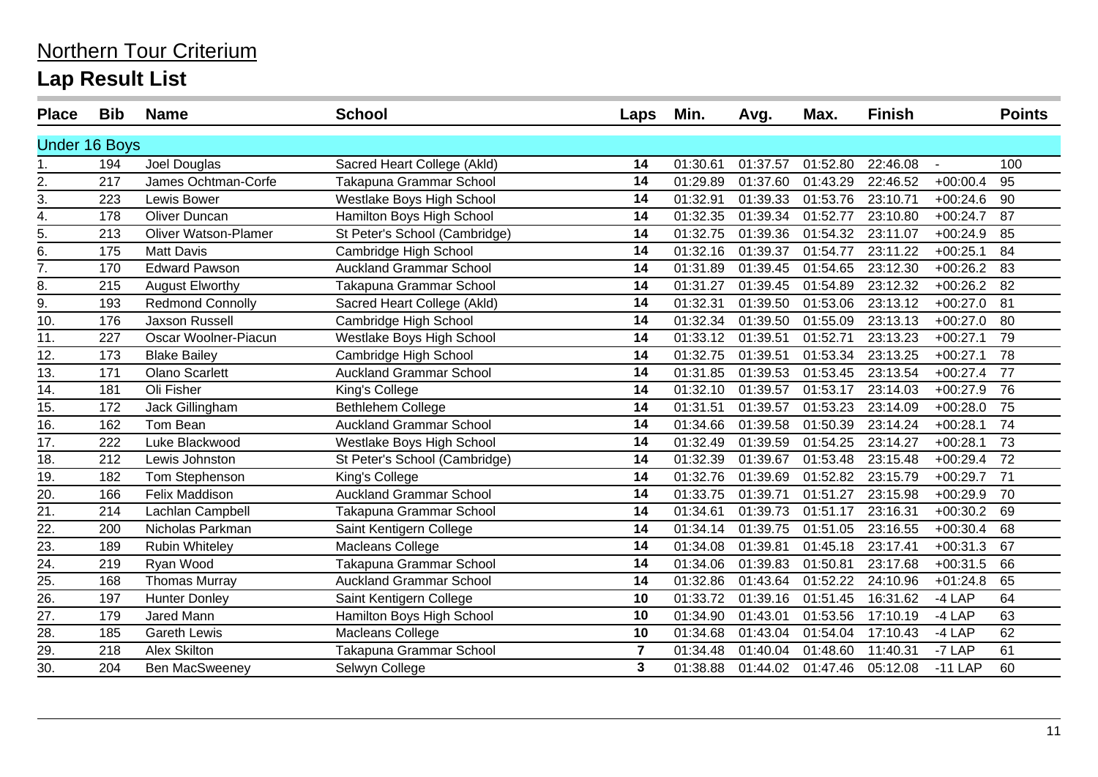| <b>Place</b>         | <b>Bib</b> | <b>Name</b>                 | <b>School</b>                  | Laps           | Min.     | Avg.     | Max.     | <b>Finish</b> |            | <b>Points</b>   |
|----------------------|------------|-----------------------------|--------------------------------|----------------|----------|----------|----------|---------------|------------|-----------------|
| <b>Under 16 Boys</b> |            |                             |                                |                |          |          |          |               |            |                 |
| 1.                   | 194        | Joel Douglas                | Sacred Heart College (Akld)    | 14             | 01:30.61 | 01:37.57 | 01:52.80 | 22:46.08      |            | 100             |
| 2.                   | 217        | James Ochtman-Corfe         | Takapuna Grammar School        | 14             | 01:29.89 | 01:37.60 | 01:43.29 | 22:46.52      | $+00:00.4$ | 95              |
| 3.                   | 223        | <b>Lewis Bower</b>          | Westlake Boys High School      | 14             | 01:32.91 | 01:39.33 | 01:53.76 | 23:10.71      | $+00:24.6$ | 90              |
| $\overline{4}$ .     | 178        | Oliver Duncan               | Hamilton Boys High School      | 14             | 01:32.35 | 01:39.34 | 01:52.77 | 23:10.80      | $+00:24.7$ | 87              |
| 5.                   | 213        | <b>Oliver Watson-Plamer</b> | St Peter's School (Cambridge)  | 14             | 01:32.75 | 01:39.36 | 01:54.32 | 23:11.07      | $+00:24.9$ | 85              |
| 6.                   | 175        | <b>Matt Davis</b>           | Cambridge High School          | 14             | 01:32.16 | 01:39.37 | 01:54.77 | 23:11.22      | $+00:25.1$ | 84              |
| 7.                   | 170        | <b>Edward Pawson</b>        | <b>Auckland Grammar School</b> | 14             | 01:31.89 | 01:39.45 | 01:54.65 | 23:12.30      | $+00:26.2$ | 83              |
| 8.                   | 215        | <b>August Elworthy</b>      | Takapuna Grammar School        | 14             | 01:31.27 | 01:39.45 | 01:54.89 | 23:12.32      | $+00:26.2$ | 82              |
| 9.                   | 193        | <b>Redmond Connolly</b>     | Sacred Heart College (Akld)    | 14             | 01:32.31 | 01:39.50 | 01:53.06 | 23:13.12      | $+00:27.0$ | 81              |
| 10.                  | 176        | Jaxson Russell              | Cambridge High School          | 14             | 01:32.34 | 01:39.50 | 01:55.09 | 23:13.13      | $+00:27.0$ | 80              |
| 11.                  | 227        | Oscar Woolner-Piacun        | Westlake Boys High School      | 14             | 01:33.12 | 01:39.51 | 01:52.71 | 23:13.23      | $+00:27.1$ | 79              |
| 12.                  | 173        | <b>Blake Bailey</b>         | Cambridge High School          | 14             | 01:32.75 | 01:39.51 | 01:53.34 | 23:13.25      | $+00:27.1$ | 78              |
| 13.                  | 171        | <b>Olano Scarlett</b>       | <b>Auckland Grammar School</b> | 14             | 01:31.85 | 01:39.53 | 01:53.45 | 23:13.54      | $+00:27.4$ | 77              |
| 14.                  | 181        | Oli Fisher                  | King's College                 | 14             | 01:32.10 | 01:39.57 | 01:53.17 | 23:14.03      | $+00:27.9$ | 76              |
| 15.                  | 172        | Jack Gillingham             | Bethlehem College              | 14             | 01:31.51 | 01:39.57 | 01:53.23 | 23:14.09      | $+00:28.0$ | 75              |
| 16.                  | 162        | Tom Bean                    | <b>Auckland Grammar School</b> | 14             | 01:34.66 | 01:39.58 | 01:50.39 | 23:14.24      | $+00:28.1$ | 74              |
| $\overline{17}$ .    | 222        | Luke Blackwood              | Westlake Boys High School      | 14             | 01:32.49 | 01:39.59 | 01:54.25 | 23:14.27      | $+00:28.1$ | 73              |
| 18.                  | 212        | Lewis Johnston              | St Peter's School (Cambridge)  | 14             | 01:32.39 | 01:39.67 | 01:53.48 | 23:15.48      | $+00:29.4$ | 72              |
| 19.                  | 182        | Tom Stephenson              | King's College                 | 14             | 01:32.76 | 01:39.69 | 01:52.82 | 23:15.79      | $+00:29.7$ | 71              |
| 20.                  | 166        | Felix Maddison              | <b>Auckland Grammar School</b> | 14             | 01:33.75 | 01:39.71 | 01:51.27 | 23:15.98      | $+00:29.9$ | 70              |
| $\overline{21}$ .    | 214        | Lachlan Campbell            | Takapuna Grammar School        | 14             | 01:34.61 | 01:39.73 | 01:51.17 | 23:16.31      | $+00:30.2$ | 69              |
| 22.                  | 200        | Nicholas Parkman            | Saint Kentigern College        | 14             | 01:34.14 | 01:39.75 | 01:51.05 | 23:16.55      | $+00:30.4$ | 68              |
| 23.                  | 189        | <b>Rubin Whiteley</b>       | Macleans College               | 14             | 01:34.08 | 01:39.81 | 01:45.18 | 23:17.41      | $+00:31.3$ | 67              |
| 24.                  | 219        | Ryan Wood                   | Takapuna Grammar School        | 14             | 01:34.06 | 01:39.83 | 01:50.81 | 23:17.68      | $+00:31.5$ | 66              |
| $\overline{25}$      | 168        | <b>Thomas Murray</b>        | <b>Auckland Grammar School</b> | 14             | 01:32.86 | 01:43.64 | 01:52.22 | 24:10.96      | $+01:24.8$ | 65              |
| $\overline{26}$      | 197        | <b>Hunter Donley</b>        | Saint Kentigern College        | 10             | 01:33.72 | 01:39.16 | 01:51.45 | 16:31.62      | -4 LAP     | 64              |
| $\overline{27}$ .    | 179        | Jared Mann                  | Hamilton Boys High School      | 10             | 01:34.90 | 01:43.01 | 01:53.56 | 17:10.19      | -4 LAP     | 63              |
| 28.                  | 185        | <b>Gareth Lewis</b>         | Macleans College               | 10             | 01:34.68 | 01:43.04 | 01:54.04 | 17:10.43      | $-4$ LAP   | 62              |
| $\overline{29}$      | 218        | <b>Alex Skilton</b>         | Takapuna Grammar School        | $\overline{7}$ | 01:34.48 | 01:40.04 | 01:48.60 | 11:40.31      | $-7$ LAP   | $\overline{61}$ |
| 30.                  | 204        | <b>Ben MacSweeney</b>       | Selwyn College                 | 3              | 01:38.88 | 01:44.02 | 01:47.46 | 05:12.08      | $-11$ LAP  | 60              |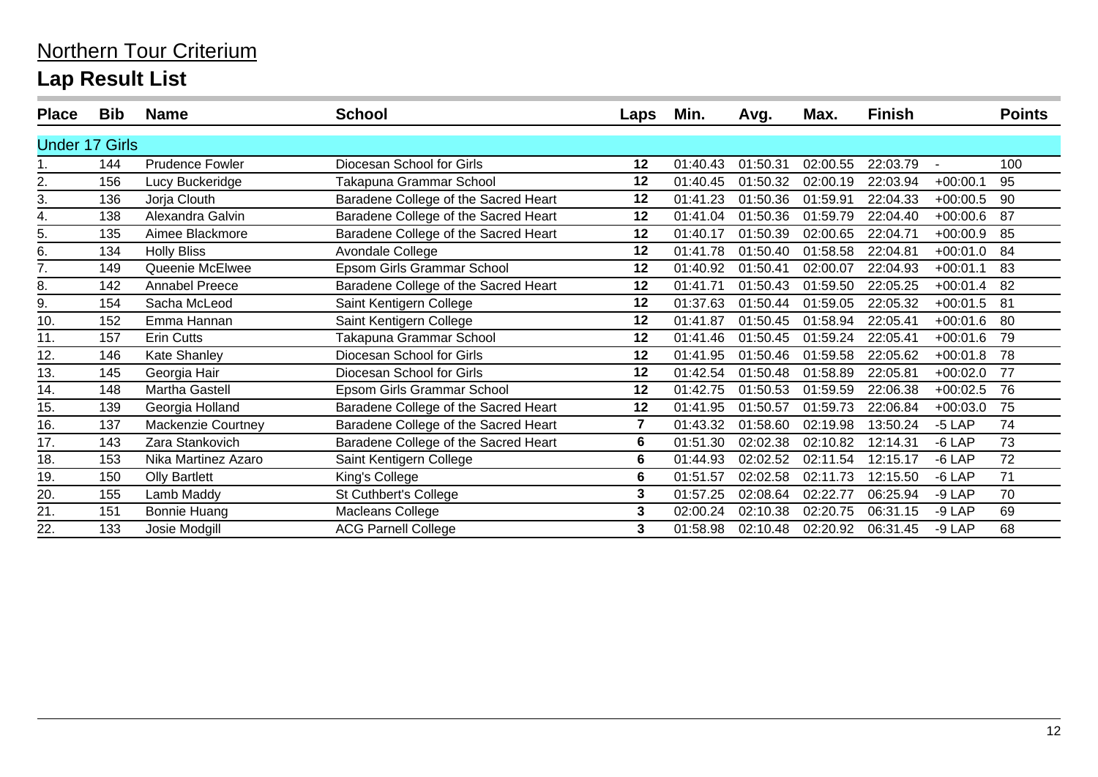| <b>Place</b>          | <b>Bib</b> | <b>Name</b>               | <b>School</b>                        | Laps | Min.     | Avg.     | Max.     | Finish   |            | <b>Points</b> |
|-----------------------|------------|---------------------------|--------------------------------------|------|----------|----------|----------|----------|------------|---------------|
| <b>Under 17 Girls</b> |            |                           |                                      |      |          |          |          |          |            |               |
|                       | 144        | <b>Prudence Fowler</b>    | Diocesan School for Girls            | 12   | 01:40.43 | 01:50.31 | 02:00.55 | 22:03.79 |            | 100           |
| 2.                    | 156        | Lucy Buckeridge           | Takapuna Grammar School              | 12   | 01:40.45 | 01:50.32 | 02:00.19 | 22:03.94 | $+00:00.1$ | 95            |
| 3.                    | 136        | Jorja Clouth              | Baradene College of the Sacred Heart | 12   | 01:41.23 | 01:50.36 | 01:59.91 | 22:04.33 | $+00:00.5$ | 90            |
| 4.                    | 138        | Alexandra Galvin          | Baradene College of the Sacred Heart | 12   | 01:41.04 | 01:50.36 | 01:59.79 | 22:04.40 | $+00:00.6$ | 87            |
| 5.                    | 135        | Aimee Blackmore           | Baradene College of the Sacred Heart | 12   | 01:40.17 | 01:50.39 | 02:00.65 | 22:04.71 | $+00:00.9$ | 85            |
| 6.                    | 134        | <b>Holly Bliss</b>        | Avondale College                     | 12   | 01:41.78 | 01:50.40 | 01:58.58 | 22:04.81 | $+00:01.0$ | 84            |
| 7.                    | 149        | Queenie McElwee           | Epsom Girls Grammar School           | 12   | 01:40.92 | 01:50.41 | 02:00.07 | 22:04.93 | $+00:01.1$ | 83            |
| 8.                    | 142        | <b>Annabel Preece</b>     | Baradene College of the Sacred Heart | 12   | 01:41.71 | 01:50.43 | 01:59.50 | 22:05.25 | $+00:01.4$ | 82            |
| 9.                    | 154        | Sacha McLeod              | Saint Kentigern College              | 12   | 01:37.63 | 01:50.44 | 01:59.05 | 22:05.32 | $+00:01.5$ | 81            |
| 10.                   | 152        | Emma Hannan               | Saint Kentigern College              | 12   | 01:41.87 | 01:50.45 | 01:58.94 | 22:05.41 | $+00:01.6$ | 80            |
| 11.                   | 157        | Erin Cutts                | Takapuna Grammar School              | 12   | 01:41.46 | 01:50.45 | 01:59.24 | 22:05.41 | $+00:01.6$ | 79            |
| 12.                   | 146        | Kate Shanley              | Diocesan School for Girls            | 12   | 01:41.95 | 01:50.46 | 01:59.58 | 22:05.62 | $+00:01.8$ | 78            |
| 13.                   | 145        | Georgia Hair              | Diocesan School for Girls            | 12   | 01:42.54 | 01:50.48 | 01:58.89 | 22:05.81 | $+00:02.0$ | 77            |
| 14.                   | 148        | <b>Martha Gastell</b>     | Epsom Girls Grammar School           | 12   | 01:42.75 | 01:50.53 | 01:59.59 | 22:06.38 | $+00:02.5$ | 76            |
| 15.                   | 139        | Georgia Holland           | Baradene College of the Sacred Heart | 12   | 01:41.95 | 01:50.57 | 01:59.73 | 22:06.84 | $+00:03.0$ | 75            |
| 16.                   | 137        | <b>Mackenzie Courtney</b> | Baradene College of the Sacred Heart | 7    | 01:43.32 | 01:58.60 | 02:19.98 | 13:50.24 | $-5$ LAP   | 74            |
| 17.                   | 143        | Zara Stankovich           | Baradene College of the Sacred Heart | 6    | 01:51.30 | 02:02.38 | 02:10.82 | 12:14.31 | $-6$ LAP   | 73            |
| 18.                   | 153        | Nika Martinez Azaro       | Saint Kentigern College              | 6    | 01:44.93 | 02:02.52 | 02:11.54 | 12:15.17 | $-6$ LAP   | 72            |
| 19.                   | 150        | <b>Olly Bartlett</b>      | King's College                       | 6    | 01:51.57 | 02:02.58 | 02:11.73 | 12:15.50 | $-6$ LAP   | 71            |
| 20.                   | 155        | Lamb Maddy                | St Cuthbert's College                | 3    | 01:57.25 | 02:08.64 | 02:22.77 | 06:25.94 | -9 LAP     | 70            |
| 21.                   | 151        | Bonnie Huang              | Macleans College                     | 3    | 02:00.24 | 02:10.38 | 02:20.75 | 06:31.15 | -9 LAP     | 69            |
| 22.                   | 133        | Josie Modgill             | <b>ACG Parnell College</b>           | 3    | 01:58.98 | 02:10.48 | 02:20.92 | 06:31.45 | $-9$ LAP   | 68            |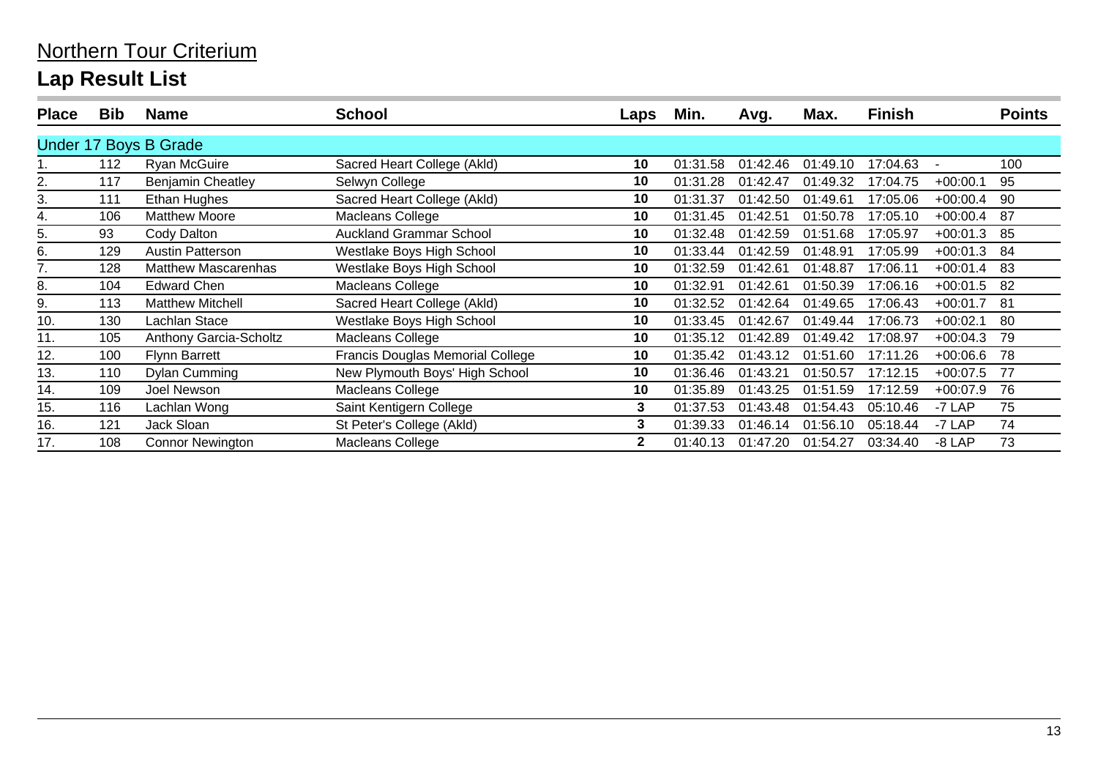| <b>Place</b> | <b>Bib</b> | <b>Name</b>                  | School                                  | Laps           | Min.     | Avg.     | Max.     | <b>Finish</b> |            | <b>Points</b> |
|--------------|------------|------------------------------|-----------------------------------------|----------------|----------|----------|----------|---------------|------------|---------------|
|              |            | <b>Under 17 Boys B Grade</b> |                                         |                |          |          |          |               |            |               |
|              | 112        | Ryan McGuire                 | Sacred Heart College (Akld)             | 10             | 01:31.58 | 01:42.46 | 01:49.10 | 17:04.63      |            | 100           |
| 2.           | 117        | <b>Benjamin Cheatley</b>     | Selwyn College                          | 10             | 01:31.28 | 01:42.47 | 01:49.32 | 17:04.75      | $+00:00.1$ | 95            |
| 3.           | 111        | Ethan Hughes                 | Sacred Heart College (Akld)             | 10             | 01:31.37 | 01:42.50 | 01:49.61 | 17:05.06      | $+00:00.4$ | 90            |
| 4.           | 106        | <b>Matthew Moore</b>         | Macleans College                        | 10             | 01:31.45 | 01:42.51 | 01:50.78 | 17:05.10      | $+00:00.4$ | 87            |
| 5.           | 93         | Cody Dalton                  | <b>Auckland Grammar School</b>          | 10             | 01:32.48 | 01:42.59 | 01:51.68 | 17:05.97      | $+00:01.3$ | -85           |
| 6.           | 129        | <b>Austin Patterson</b>      | Westlake Boys High School               | 10             | 01:33.44 | 01:42.59 | 01:48.91 | 17:05.99      | $+00:01.3$ | 84            |
| 7.           | 128        | <b>Matthew Mascarenhas</b>   | Westlake Boys High School               | 10             | 01:32.59 | 01:42.61 | 01:48.87 | 17:06.11      | $+00:01.4$ | -83           |
| 8.           | 104        | <b>Edward Chen</b>           | Macleans College                        | 10             | 01:32.91 | 01:42.61 | 01:50.39 | 17:06.16      | $+00:01.5$ | -82           |
| 9.           | 113        | <b>Matthew Mitchell</b>      | Sacred Heart College (Akld)             | 10             | 01:32.52 | 01:42.64 | 01:49.65 | 17:06.43      | $+00:01.7$ | -81           |
| 10.          | 130        | Lachlan Stace                | Westlake Boys High School               | 10             | 01:33.45 | 01:42.67 | 01:49.44 | 17:06.73      | $+00:02.1$ | 80            |
| 11.          | 105        | Anthony Garcia-Scholtz       | Macleans College                        | 10             | 01:35.12 | 01:42.89 | 01:49.42 | 17:08.97      | $+00:04.3$ | 79            |
| 12.          | 100        | <b>Flynn Barrett</b>         | <b>Francis Douglas Memorial College</b> | 10             | 01:35.42 | 01:43.12 | 01:51.60 | 17:11.26      | $+00:06.6$ | 78            |
| 13.          | 110        | <b>Dylan Cumming</b>         | New Plymouth Boys' High School          | 10             | 01:36.46 | 01:43.21 | 01:50.57 | 17:12.15      | $+00:07.5$ | 77            |
| 14.          | 109        | Joel Newson                  | Macleans College                        | 10             | 01:35.89 | 01:43.25 | 01:51.59 | 17:12.59      | $+00:07.9$ | 76            |
| 15.          | 116        | Lachlan Wong                 | Saint Kentigern College                 | 3              | 01:37.53 | 01:43.48 | 01:54.43 | 05:10.46      | -7 LAP     | 75            |
| 16.          | 121        | Jack Sloan                   | St Peter's College (Akld)               | 3              | 01:39.33 | 01:46.14 | 01:56.10 | 05:18.44      | -7 LAP     | 74            |
| 17.          | 108        | <b>Connor Newington</b>      | Macleans College                        | $\overline{2}$ | 01:40.13 | 01:47.20 | 01:54.27 | 03:34.40      | $-8$ LAP   | 73            |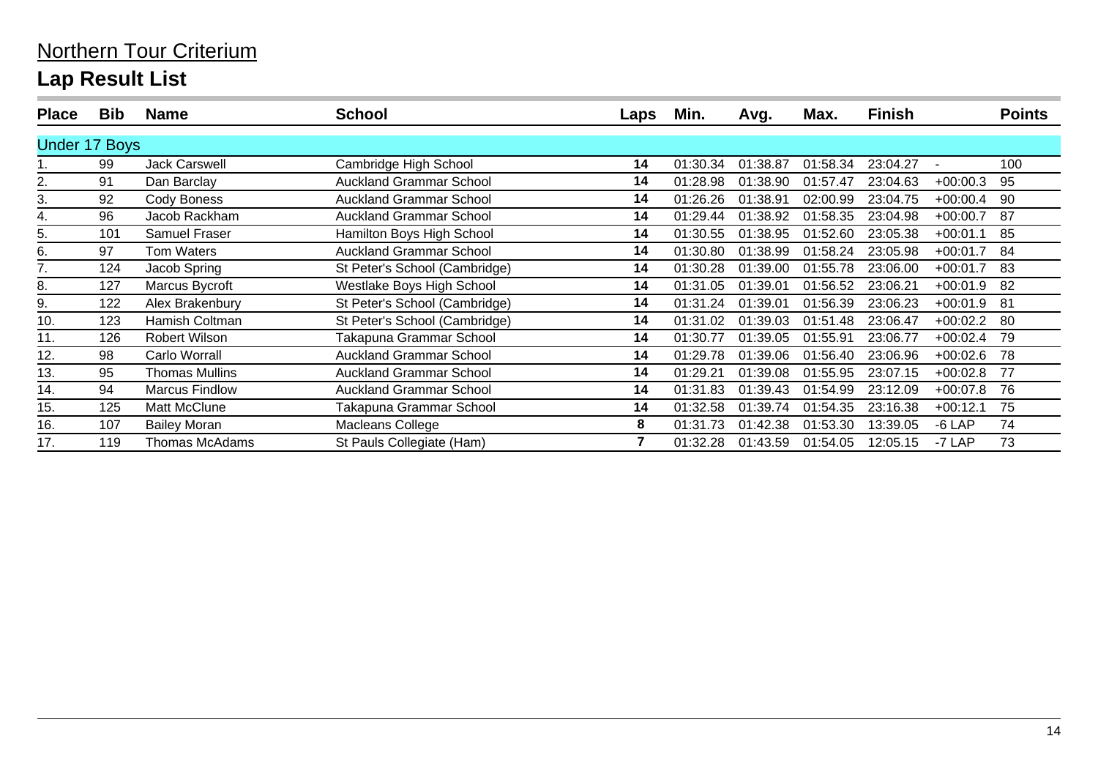| <b>Place</b>         | <b>Bib</b> | <b>Name</b>           | School                         | Laps           | Min.     | Avg.     | Max.     | <b>Finish</b> |            | <b>Points</b> |
|----------------------|------------|-----------------------|--------------------------------|----------------|----------|----------|----------|---------------|------------|---------------|
| <b>Under 17 Boys</b> |            |                       |                                |                |          |          |          |               |            |               |
|                      | 99         | Jack Carswell         | Cambridge High School          | 14             | 01:30.34 | 01:38.87 | 01:58.34 | 23:04.27      |            | 100           |
| 2.                   | 91         | Dan Barclay           | <b>Auckland Grammar School</b> | 14             | 01:28.98 | 01:38.90 | 01:57.47 | 23:04.63      | $+00:00.3$ | 95            |
| 3.                   | 92         | Cody Boness           | Auckland Grammar School        | 14             | 01:26.26 | 01:38.91 | 02:00.99 | 23:04.75      | $+00:00.4$ | 90            |
| 4.                   | 96         | Jacob Rackham         | <b>Auckland Grammar School</b> | 14             | 01:29.44 | 01:38.92 | 01:58.35 | 23:04.98      | $+00:00.7$ | 87            |
| 5.                   | 101        | <b>Samuel Fraser</b>  | Hamilton Boys High School      | 14             | 01:30.55 | 01:38.95 | 01:52.60 | 23:05.38      | $+00:01.1$ | 85            |
| 6.                   | 97         | <b>Tom Waters</b>     | <b>Auckland Grammar School</b> | 14             | 01:30.80 | 01:38.99 | 01:58.24 | 23:05.98      | $+00:01.7$ | 84            |
| 7.                   | 124        | Jacob Spring          | St Peter's School (Cambridge)  | 14             | 01:30.28 | 01:39.00 | 01:55.78 | 23:06.00      | $+00:01.7$ | 83            |
| 8.                   | 127        | Marcus Bycroft        | Westlake Boys High School      | 14             | 01:31.05 | 01:39.01 | 01:56.52 | 23:06.21      | $+00:01.9$ | 82            |
| 9.                   | 122        | Alex Brakenbury       | St Peter's School (Cambridge)  | 14             | 01:31.24 | 01:39.01 | 01:56.39 | 23:06.23      | $+00:01.9$ | 81            |
| 10.                  | 123        | Hamish Coltman        | St Peter's School (Cambridge)  | 14             | 01:31.02 | 01:39.03 | 01:51.48 | 23:06.47      | $+00:02.2$ | 80            |
| 11.                  | 126        | <b>Robert Wilson</b>  | Takapuna Grammar School        | 14             | 01:30.77 | 01:39.05 | 01:55.91 | 23:06.77      | $+00:02.4$ | 79            |
| 12.                  | 98         | Carlo Worrall         | Auckland Grammar School        | 14             | 01:29.78 | 01:39.06 | 01:56.40 | 23:06.96      | $+00:02.6$ | 78            |
| 13.                  | 95         | <b>Thomas Mullins</b> | <b>Auckland Grammar School</b> | 14             | 01:29.21 | 01:39.08 | 01:55.95 | 23:07.15      | $+00:02.8$ | -77           |
| 14.                  | 94         | <b>Marcus Findlow</b> | <b>Auckland Grammar School</b> | 14             | 01:31.83 | 01:39.43 | 01:54.99 | 23:12.09      | $+00:07.8$ | 76            |
| 15.                  | 125        | Matt McClune          | Takapuna Grammar School        | 14             | 01:32.58 | 01:39.74 | 01:54.35 | 23:16.38      | $+00:12.1$ | 75            |
| 16.                  | 107        | <b>Bailey Moran</b>   | Macleans College               | 8              | 01:31.73 | 01:42.38 | 01:53.30 | 13:39.05      | $-6$ LAP   | 74            |
| 17.                  | 119        | <b>Thomas McAdams</b> | St Pauls Collegiate (Ham)      | $\overline{7}$ | 01:32.28 | 01:43.59 | 01:54.05 | 12:05.15      | -7 LAP     | 73            |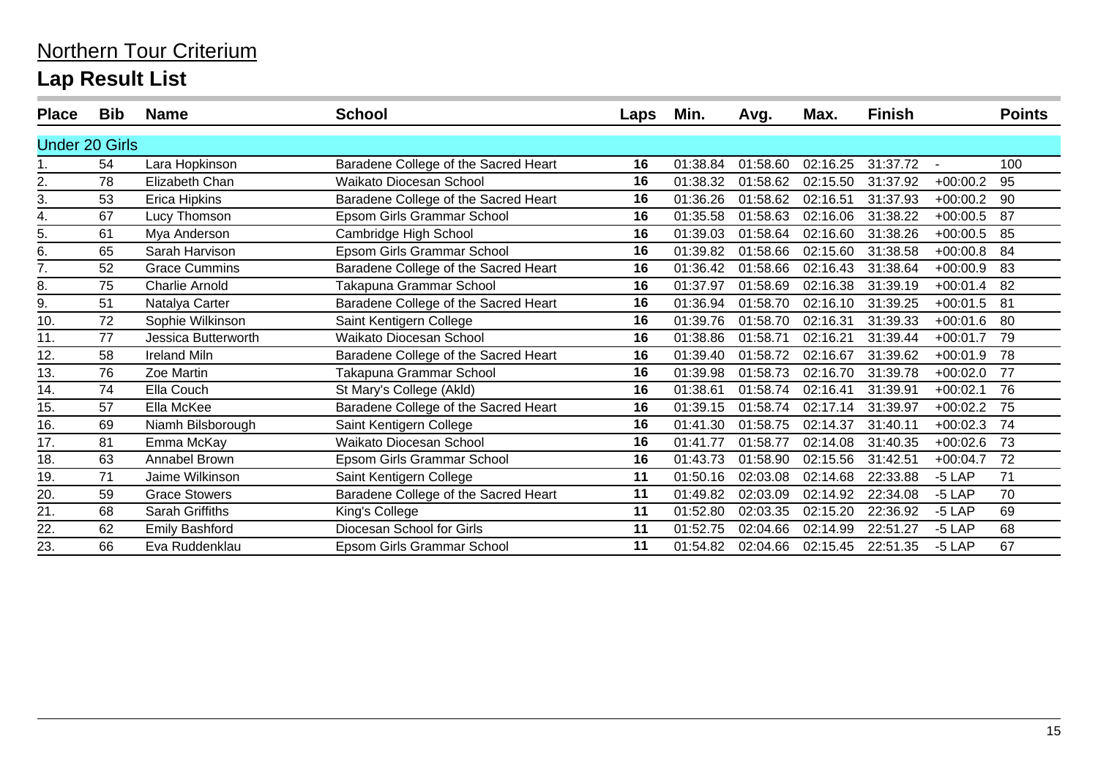| <b>Place</b>          | Bib | <b>Name</b>           | <b>School</b>                        | Laps | Min.     | Avg.     | Max.     | <b>Finish</b> |                | <b>Points</b> |
|-----------------------|-----|-----------------------|--------------------------------------|------|----------|----------|----------|---------------|----------------|---------------|
| <b>Under 20 Girls</b> |     |                       |                                      |      |          |          |          |               |                |               |
|                       | 54  | Lara Hopkinson        | Baradene College of the Sacred Heart | 16   | 01:38.84 | 01:58.60 | 02:16.25 | 31:37.72      | $\blacksquare$ | 100           |
| 2.                    | 78  | Elizabeth Chan        | Waikato Diocesan School              | 16   | 01:38.32 | 01:58.62 | 02:15.50 | 31:37.92      | $+00:00.2$     | 95            |
| 3.                    | 53  | Erica Hipkins         | Baradene College of the Sacred Heart | 16   | 01:36.26 | 01:58.62 | 02:16.51 | 31:37.93      | $+00:00.2$     | 90            |
| 4.                    | 67  | Lucy Thomson          | Epsom Girls Grammar School           | 16   | 01:35.58 | 01:58.63 | 02:16.06 | 31:38.22      | $+00:00.5$     | 87            |
| 5.                    | 61  | Mya Anderson          | Cambridge High School                | 16   | 01:39.03 | 01:58.64 | 02:16.60 | 31:38.26      | $+00:00.5$     | 85            |
| 6.                    | 65  | Sarah Harvison        | Epsom Girls Grammar School           | 16   | 01:39.82 | 01:58.66 | 02:15.60 | 31:38.58      | $+00:00.8$     | 84            |
| 7.                    | 52  | <b>Grace Cummins</b>  | Baradene College of the Sacred Heart | 16   | 01:36.42 | 01:58.66 | 02:16.43 | 31:38.64      | $+00:00.9$     | 83            |
| 8.                    | 75  | <b>Charlie Arnold</b> | Takapuna Grammar School              | 16   | 01:37.97 | 01:58.69 | 02:16.38 | 31:39.19      | $+00:01.4$     | 82            |
| 9.                    | 51  | Natalya Carter        | Baradene College of the Sacred Heart | 16   | 01:36.94 | 01:58.70 | 02:16.10 | 31:39.25      | $+00:01.5$     | 81            |
| 10.                   | 72  | Sophie Wilkinson      | Saint Kentigern College              | 16   | 01:39.76 | 01:58.70 | 02:16.31 | 31:39.33      | $+00:01.6$     | 80            |
| 11.                   | 77  | Jessica Butterworth   | Waikato Diocesan School              | 16   | 01:38.86 | 01:58.71 | 02:16.21 | 31:39.44      | $+00:01.7$     | 79            |
| 12.                   | 58  | <b>Ireland Miln</b>   | Baradene College of the Sacred Heart | 16   | 01:39.40 | 01:58.72 | 02:16.67 | 31:39.62      | $+00:01.9$     | 78            |
| 13.                   | 76  | Zoe Martin            | Takapuna Grammar School              | 16   | 01:39.98 | 01:58.73 | 02:16.70 | 31:39.78      | $+00:02.0$     | 77            |
| 14.                   | 74  | Ella Couch            | St Mary's College (Akld)             | 16   | 01:38.61 | 01:58.74 | 02:16.41 | 31:39.91      | $+00:02.1$     | 76            |
| 15.                   | 57  | Ella McKee            | Baradene College of the Sacred Heart | 16   | 01:39.15 | 01:58.74 | 02:17.14 | 31:39.97      | $+00:02.2$     | 75            |
| 16.                   | 69  | Niamh Bilsborough     | Saint Kentigern College              | 16   | 01:41.30 | 01:58.75 | 02:14.37 | 31:40.11      | $+00:02.3$     | 74            |
| 17.                   | 81  | Emma McKay            | <b>Waikato Diocesan School</b>       | 16   | 01:41.77 | 01:58.77 | 02:14.08 | 31:40.35      | $+00:02.6$     | 73            |
| 18.                   | 63  | Annabel Brown         | Epsom Girls Grammar School           | 16   | 01:43.73 | 01:58.90 | 02:15.56 | 31:42.51      | $+00:04.7$     | 72            |
| 19.                   | 71  | Jaime Wilkinson       | Saint Kentigern College              | 11   | 01:50.16 | 02:03.08 | 02:14.68 | 22:33.88      | $-5$ LAP       | 71            |
| 20.                   | 59  | <b>Grace Stowers</b>  | Baradene College of the Sacred Heart | 11   | 01:49.82 | 02:03.09 | 02:14.92 | 22:34.08      | $-5$ LAP       | 70            |
| 21.                   | 68  | Sarah Griffiths       | King's College                       | 11   | 01:52.80 | 02:03.35 | 02:15.20 | 22:36.92      | $-5$ LAP       | 69            |
| 22.                   | 62  | <b>Emily Bashford</b> | Diocesan School for Girls            | 11   | 01:52.75 | 02:04.66 | 02:14.99 | 22:51.27      | $-5$ LAP       | 68            |
| 23.                   | 66  | Eva Ruddenklau        | Epsom Girls Grammar School           | 11   | 01:54.82 | 02:04.66 | 02:15.45 | 22:51.35      | $-5$ LAP       | 67            |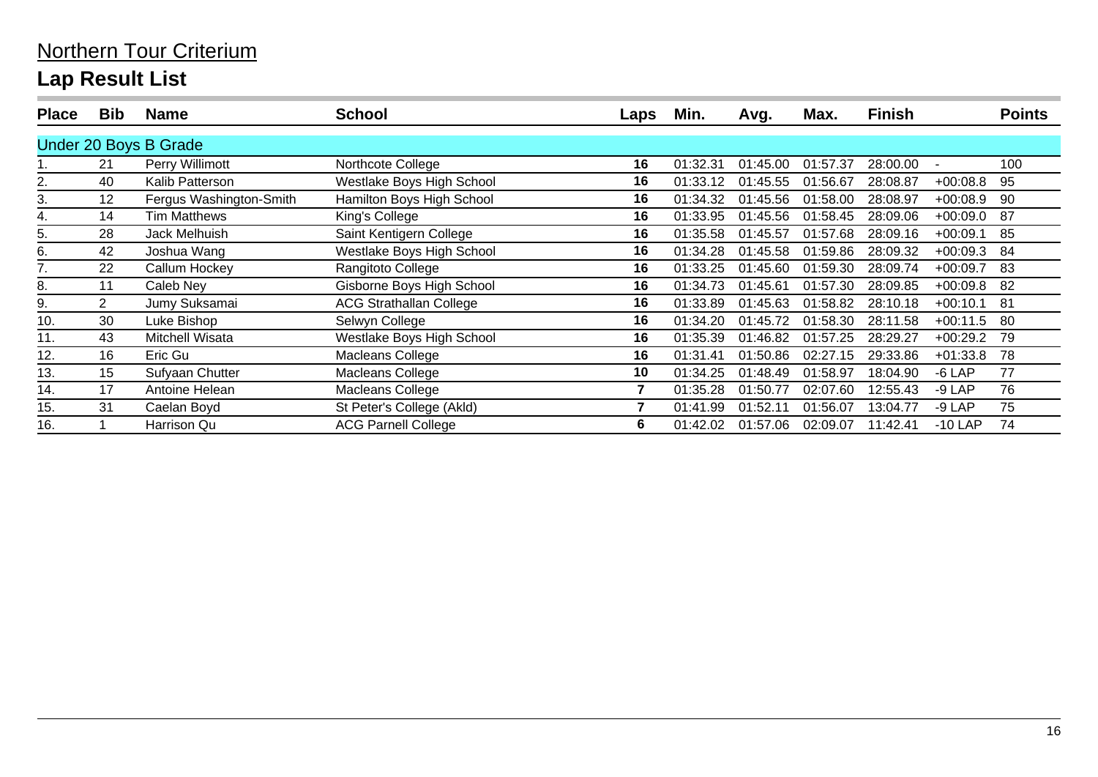| <b>Place</b> | <b>Bib</b>      | <b>Name</b>             | <b>School</b>                  | Laps           | Min.     | Avg.     | Max.     | <b>Finish</b> |            | <b>Points</b> |
|--------------|-----------------|-------------------------|--------------------------------|----------------|----------|----------|----------|---------------|------------|---------------|
|              |                 | Under 20 Boys B Grade   |                                |                |          |          |          |               |            |               |
|              | 21              | Perry Willimott         | Northcote College              | 16             | 01:32.31 | 01:45.00 | 01:57.37 | 28:00.00      |            | 100           |
| 2.           | 40              | Kalib Patterson         | Westlake Boys High School      | 16             | 01:33.12 | 01:45.55 | 01:56.67 | 28:08.87      | $+00:08.8$ | 95            |
| 3.           | 12 <sup>°</sup> | Fergus Washington-Smith | Hamilton Boys High School      | 16             | 01:34.32 | 01:45.56 | 01:58.00 | 28:08.97      | $+00:08.9$ | 90            |
| 4.           | 14              | <b>Tim Matthews</b>     | King's College                 | 16             | 01:33.95 | 01:45.56 | 01:58.45 | 28:09.06      | $+00:09.0$ | 87            |
| 5.           | 28              | Jack Melhuish           | Saint Kentigern College        | 16             | 01:35.58 | 01:45.57 | 01:57.68 | 28:09.16      | $+00:09.1$ | 85            |
| 6.           | 42              | Joshua Wang             | Westlake Boys High School      | 16             | 01:34.28 | 01:45.58 | 01:59.86 | 28:09.32      | $+00:09.3$ | 84            |
| 7.           | 22              | Callum Hockey           | Rangitoto College              | 16             | 01:33.25 | 01:45.60 | 01:59.30 | 28:09.74      | $+00:09.7$ | 83            |
| 8.           | 11              | Caleb Ney               | Gisborne Boys High School      | 16             | 01:34.73 | 01:45.61 | 01:57.30 | 28:09.85      | $+00:09.8$ | 82            |
| 9.           | $\overline{2}$  | Jumy Suksamai           | <b>ACG Strathallan College</b> | 16             | 01:33.89 | 01:45.63 | 01:58.82 | 28:10.18      | $+00:10.1$ | -81           |
| 10.          | 30              | Luke Bishop             | Selwyn College                 | 16             | 01:34.20 | 01:45.72 | 01:58.30 | 28:11.58      | $+00:11.5$ | -80           |
| 11.          | 43              | Mitchell Wisata         | Westlake Boys High School      | 16             | 01:35.39 | 01:46.82 | 01:57.25 | 28:29.27      | $+00:29.2$ | 79            |
| 12.          | 16              | Eric Gu                 | <b>Macleans College</b>        | 16             | 01:31.41 | 01:50.86 | 02:27.15 | 29:33.86      | $+01:33.8$ | 78            |
| 13.          | 15              | Sufyaan Chutter         | Macleans College               | 10             | 01:34.25 | 01:48.49 | 01:58.97 | 18:04.90      | -6 LAP     | 77            |
| 14.          | 17              | Antoine Helean          | Macleans College               | $\overline{7}$ | 01:35.28 | 01:50.77 | 02:07.60 | 12:55.43      | $-9$ LAP   | 76            |
| 15.          | 31              | Caelan Boyd             | St Peter's College (Akld)      | 7              | 01:41.99 | 01:52.11 | 01:56.07 | 13:04.77      | -9 LAP     | 75            |
| 16.          |                 | Harrison Qu             | <b>ACG Parnell College</b>     | 6              | 01:42.02 | 01:57.06 | 02:09.07 | 11:42.41      | $-10$ LAP  | 74            |